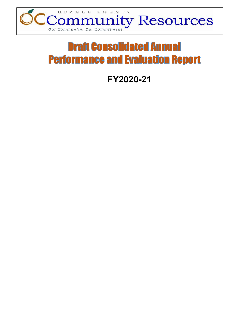

# **Draft Consolidated Annual Performance and Evaluation Report**

FY2020-21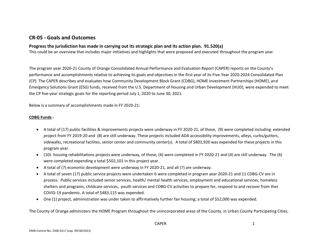# **CR-05 - Goals and Outcomes**

## **Progress the jurisdiction has made in carrying out its strategic plan and its action plan. 91.520(a)**

This could be an overview that includes major initiatives and highlights that were proposed and executed throughout the program year.

The program year 2020-21 County of Orange Consolidated Annual Performance and Evaluation Report (CAPER) reports on the County's performance and accomplishments relative to achieving its goals and objectives in the first year of its Five-Year 2020-2024 Consolidated Plan (CP). The CAPER describes and evaluates how Community Development Block Grant (CDBG), HOME Investment Partnerships (HOME), and Emergency Solutions Grant (ESG) funds, received from the U.S. Department of Housing and Urban Development (HUD), were expended to meet the CP five-year strategic goals for the reporting period July 1, 2020 to June 30, 2021.

Below is a summary of accomplishments made in FY 2020-21:

#### **CDBG Funds**:-

- A total of (17) public facilities & improvements projects were underway in FY 2020-21, of those, (9) were completed including extended project from FY 2019-20 and (8) are still underway. These projects included ADA accessibility improvements, alleys, curbs/gutters, sidewalks, recreational facilites, senior center and community center(s). A total of \$801,920 was expended for these projects in this program year.
- (10)- housing rehabilitations projects were underway, of those, (6) were completed in FY 2020-21 and (4) are still underway. The (6) were completed expending a total \$502,101 in this project year.
- A total of (7) economic development were underway in FY 2020-21, and all (7) are underway.
- A total of seven (17) public service projects were undertaken 6 were completed in program year 2020-21 and 11 CDBG-CV are in process. Public services included senior services, health/ mental health services, employment and educational services, homeless shelters and programs, childcare services, youth services and CDBG-CV activities to prepare for, respond to and recover from ther COVID-19 pandemic. A total of \$483,115 was expended.
- One (1) project, administration was under taken to affirmatively further fair housing; a total of \$52,000 was expended.

The County of Orange administers the HOME Program throughout the unincorporated areas of the County, in Urban County Participating Cities,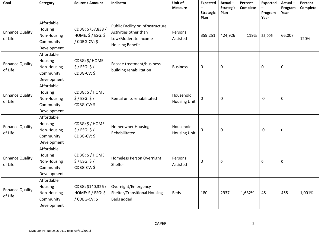| Goal                              | Category                                                         | Source / Amount                                                                | Indicator                                                                                                   | Unit of<br><b>Measure</b>        | <b>Expected</b><br><b>Strategic</b><br>Plan | Actual-<br><b>Strategic</b><br>Plan | Percent<br>Complete | <b>Expected</b><br>Program<br>Year | Actual-<br>Program<br>Year | Percent<br>Complete |
|-----------------------------------|------------------------------------------------------------------|--------------------------------------------------------------------------------|-------------------------------------------------------------------------------------------------------------|----------------------------------|---------------------------------------------|-------------------------------------|---------------------|------------------------------------|----------------------------|---------------------|
| <b>Enhance Quality</b><br>of Life | Affordable<br>Housing<br>Non-Housing<br>Community<br>Development | CDBG: \$757,838 /<br>HOME: $\frac{2}{3}$ / ESG: $\frac{2}{3}$<br>/ CDBG-CV: \$ | Public Facility or Infrastructure<br>Activities other than<br>Low/Moderate Income<br><b>Housing Benefit</b> | Persons<br>Assisted              | 359,251                                     | 424,926                             | 119%                | 55,006                             | 66,007                     | 120%                |
| <b>Enhance Quality</b><br>of Life | Affordable<br>Housing<br>Non-Housing<br>Community<br>Development | CDBG: \$/ HOME:<br>\$ / ESG: \$ /<br>CDBG-CV: \$                               | Facade treatment/business<br>building rehabilitation                                                        | <b>Business</b>                  | $\pmb{0}$                                   | $\mathbf 0$                         |                     | $\pmb{0}$                          | 0                          |                     |
| <b>Enhance Quality</b><br>of Life | Affordable<br>Housing<br>Non-Housing<br>Community<br>Development | CDBG: \$/HOME:<br>\$ / ESG: \$ /<br>CDBG-CV: \$                                | Rental units rehabilitated                                                                                  | Household<br><b>Housing Unit</b> | $\mathbf 0$                                 | $\mathbf 0$                         |                     | $\boldsymbol{0}$                   | 0                          |                     |
| <b>Enhance Quality</b><br>of Life | Affordable<br>Housing<br>Non-Housing<br>Community<br>Development | CDBG: \$/HOME:<br>\$ / ESG: \$ /<br>CDBG-CV: \$                                | <b>Homeowner Housing</b><br>Rehabilitated                                                                   | Household<br><b>Housing Unit</b> | 0                                           | 0                                   |                     | $\boldsymbol{0}$                   | 0                          |                     |
| <b>Enhance Quality</b><br>of Life | Affordable<br>Housing<br>Non-Housing<br>Community<br>Development | CDBG: \$/HOME:<br>\$ / ESG: \$ /<br>CDBG-CV: \$                                | Homeless Person Overnight<br>Shelter                                                                        | Persons<br>Assisted              | $\pmb{0}$                                   | 0                                   |                     | 0                                  | 0                          |                     |
| <b>Enhance Quality</b><br>of Life | Affordable<br>Housing<br>Non-Housing<br>Community<br>Development | CDBG: \$140,326 /<br>HOME: $\frac{2}{3}$ / ESG: $\frac{2}{3}$<br>/ CDBG-CV: \$ | Overnight/Emergency<br>Shelter/Transitional Housing<br><b>Beds added</b>                                    | <b>Beds</b>                      | 180                                         | 2937                                | 1,632%              | 45                                 | 458                        | 1,001%              |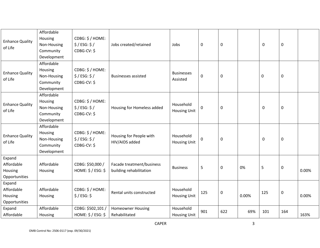|                        | Affordable  |                                          |                            |                     |             |             |       |             |                  |       |
|------------------------|-------------|------------------------------------------|----------------------------|---------------------|-------------|-------------|-------|-------------|------------------|-------|
| <b>Enhance Quality</b> | Housing     | CDBG: \$/HOME:                           |                            |                     |             |             |       |             |                  |       |
| of Life                | Non-Housing | \$ / ESG: \$ /                           | Jobs created/retained      | Jobs                | $\pmb{0}$   | 0           |       | $\pmb{0}$   | $\mathbf 0$      |       |
|                        | Community   | CDBG-CV: \$                              |                            |                     |             |             |       |             |                  |       |
|                        | Development |                                          |                            |                     |             |             |       |             |                  |       |
|                        | Affordable  |                                          |                            |                     |             |             |       |             |                  |       |
| <b>Enhance Quality</b> | Housing     | CDBG: \$/HOME:                           |                            | <b>Businesses</b>   |             |             |       |             |                  |       |
| of Life                | Non-Housing | \$ / ESG: \$ /                           | <b>Businesses assisted</b> | Assisted            | $\mathbf 0$ | 0           |       | $\pmb{0}$   | $\mathbf 0$      |       |
|                        | Community   | CDBG-CV: \$                              |                            |                     |             |             |       |             |                  |       |
|                        | Development |                                          |                            |                     |             |             |       |             |                  |       |
|                        | Affordable  |                                          |                            |                     |             |             |       |             |                  |       |
| <b>Enhance Quality</b> | Housing     | CDBG: \$/HOME:                           |                            | Household           |             |             |       |             |                  |       |
| of Life                | Non-Housing | \$ / ESG: \$ /                           | Housing for Homeless added |                     | $\mathbf 0$ | 0           |       | $\mathbf 0$ | 0                |       |
|                        | Community   | CDBG-CV: \$                              |                            | <b>Housing Unit</b> |             |             |       |             |                  |       |
|                        | Development |                                          |                            |                     |             |             |       |             |                  |       |
|                        | Affordable  |                                          |                            |                     |             |             |       |             |                  |       |
|                        | Housing     | CDBG: \$/HOME:                           |                            |                     |             |             |       |             |                  |       |
| <b>Enhance Quality</b> | Non-Housing | \$ / ESG: \$ /                           | Housing for People with    | Household           | $\mathbf 0$ | 0           |       | $\pmb{0}$   | $\boldsymbol{0}$ |       |
| of Life                | Community   | CDBG-CV: \$                              | HIV/AIDS added             | <b>Housing Unit</b> |             |             |       |             |                  |       |
|                        | Development |                                          |                            |                     |             |             |       |             |                  |       |
| Expand                 |             |                                          |                            |                     |             |             |       |             |                  |       |
| Affordable             | Affordable  | CDBG: \$50,000 /                         | Facade treatment/business  | <b>Business</b>     | 5           | $\mathbf 0$ | 0%    | 5           |                  |       |
| Housing                | Housing     | HOME: $\frac{2}{3}$ / ESG: $\frac{2}{3}$ | building rehabilitation    |                     |             |             |       |             | $\mathbf 0$      | 0.00% |
| Opportunities          |             |                                          |                            |                     |             |             |       |             |                  |       |
| Expand                 |             |                                          |                            |                     |             |             |       |             |                  |       |
| Affordable             | Affordable  | CDBG: \$/HOME:                           | Rental units constructed   | Household           | 125         |             |       | 125         |                  |       |
| Housing                | Housing     | \$/ESG: \$                               |                            | <b>Housing Unit</b> |             | 0           | 0.00% |             | $\mathbf 0$      | 0.00% |
| Opportunities          |             |                                          |                            |                     |             |             |       |             |                  |       |
| Expand                 | Affordable  | CDBG: \$502,101 /                        | <b>Homeowner Housing</b>   | Household           | 901         |             |       |             |                  |       |
| Affordable             | Housing     | HOME: $\frac{2}{7}$ / ESG: $\frac{2}{7}$ | Rehabilitated              | <b>Housing Unit</b> |             | 622         | 69%   | 101         | 164              | 163%  |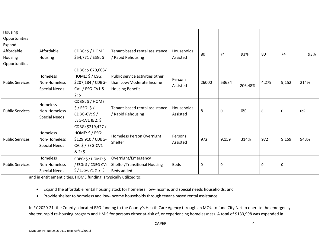| Housing                |                                                  |                                                                                    |                                                                                       |                     |             |       |         |       |       |      |
|------------------------|--------------------------------------------------|------------------------------------------------------------------------------------|---------------------------------------------------------------------------------------|---------------------|-------------|-------|---------|-------|-------|------|
| Opportunities          |                                                  |                                                                                    |                                                                                       |                     |             |       |         |       |       |      |
| Expand                 |                                                  |                                                                                    |                                                                                       |                     |             |       |         |       |       |      |
| Affordable             | Affordable                                       | CDBG: \$/HOME:                                                                     | Tenant-based rental assistance                                                        | Households          | 80          |       | 93%     | 80    | 74    | 93%  |
| Housing                | Housing                                          | \$54,771 / ESG: \$                                                                 | / Rapid Rehousing                                                                     | Assisted            |             | 74    |         |       |       |      |
| Opportunities          |                                                  |                                                                                    |                                                                                       |                     |             |       |         |       |       |      |
| <b>Public Services</b> | Homeless<br>Non-Homeless<br><b>Special Needs</b> | CDBG: \$670,603/<br>HOME: \$ / ESG:<br>\$207,184 / CDBG-<br>CV: / ESG-CV1 &<br>2:5 | Public service activities other<br>than Low/Moderate Income<br><b>Housing Benefit</b> | Persons<br>Assisted | 26000       | 53684 | 206.48% | 4,279 | 9,152 | 214% |
|                        |                                                  | CDBG: \$/HOME:                                                                     |                                                                                       |                     |             |       |         |       |       |      |
|                        | Homeless                                         | \$ / ESG: \$ /                                                                     | Tenant-based rental assistance                                                        | Households          |             |       |         |       |       |      |
| <b>Public Services</b> | Non-Homeless                                     | $CDBG-CV: $/$                                                                      | / Rapid Rehousing                                                                     | Assisted            | 8           | 0     | 0%      | 8     | 0     | 0%   |
|                        | <b>Special Needs</b>                             | ESG-CV1 & 2: \$                                                                    |                                                                                       |                     |             |       |         |       |       |      |
|                        |                                                  | CDBG: \$219,427 /                                                                  |                                                                                       |                     |             |       |         |       |       |      |
|                        | Homeless                                         | HOME: $\frac{2}{7}$ / ESG:                                                         | Homeless Person Overnight                                                             | Persons             |             |       |         |       |       |      |
| <b>Public Services</b> | Non-Homeless                                     | \$129,910 / CDBG-                                                                  | Shelter                                                                               | Assisted            | 972         | 9,159 | 314%    | 972   | 9,159 | 943% |
|                        | <b>Special Needs</b>                             | $CV: $ / ESG-CV1$                                                                  |                                                                                       |                     |             |       |         |       |       |      |
|                        |                                                  | 8.2:5                                                                              |                                                                                       |                     |             |       |         |       |       |      |
|                        | Homeless                                         | CDBG: \$/HOME: \$                                                                  | Overnight/Emergency                                                                   |                     |             |       |         |       |       |      |
| <b>Public Services</b> | Non-Homeless                                     | /ESG: \$/CDBG-CV:                                                                  | Shelter/Transitional Housing                                                          | <b>Beds</b>         | $\mathbf 0$ | 0     |         | 0     | 0     |      |
|                        | <b>Special Needs</b>                             | $$ / ESG-CV1 & 2: $$                                                               | Beds added                                                                            |                     |             |       |         |       |       |      |

and in entitlement cities. HOME funding is typically utilized to:

- Expand the affordable rental housing stock for homeless, low-income, and special needs households; and
- Provide shelter to homeless and low-income households through tenant-based rental assistance

In FY 2020-21, the County allocated ESG funding to the County's Health Care Agency through an MOU to fund City Net to operate the emergency shelter, rapid re-housing program and HMIS for persons either at-risk of, or experiencing homelessness. A total of \$133,998 was expended in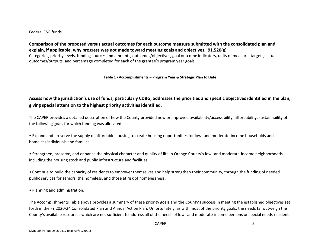Federal ESG funds.

## **Comparison of the proposed versus actual outcomes for each outcome measure submitted with the consolidated plan and explain, if applicable, why progress was not made toward meeting goals and objectives. 91.520(g)**

Categories, priority levels, funding sources and amounts, outcomes/objectives, goal outcome indicators, units of measure, targets, actual outcomes/outputs, and percentage completed for each of the grantee's program year goals.

**Table 1 - Accomplishments – Program Year & Strategic Plan to Date**

# **Assess how the jurisdiction's use of funds, particularly CDBG, addresses the priorities and specific objectives identified in the plan, giving special attention to the highest priority activities identified.**

The CAPER provides a detailed description of how the County provided new or improved availability/accessibility, affordability, sustainability of the following goals for which funding was allocated:

• Expand and preserve the supply of affordable housing to create housing opportunities for low- and moderate-income households and homeless individuals and families

• Strengthen, preserve, and enhance the physical character and quality of life in Orange County's low- and moderate-income neighborhoods, including the housing stock and public infrastructure and facilities.

• Continue to build the capacity of residents to empower themselves and help strengthen their community, through the funding of needed public services for seniors, the homeless, and those at risk of homelessness.

• Planning and administration.

The Accomplishments Table above provides a summary of these priority goals and the County's success in meeting the established objectives set forth in the FY 2020-24 Consolidated Plan and Annual Action Plan. Unfortunately, as with most of the priority goals, the needs far outweigh the County's available resources which are not sufficient to address all of the needs of low- and moderate-income persons or special needs residents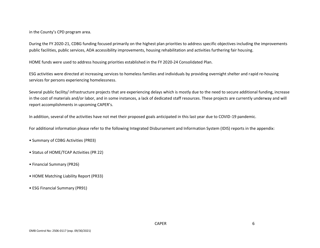in the County's CPD program area.

During the FY 2020-21, CDBG funding focused primarily on the highest plan priorities to address specific objectives including the improvements public facilities, public services, ADA accessibility improvements, housing rehabilitation and activities furthering fair housing.

HOME funds were used to address housing priorities established in the FY 2020-24 Consolidated Plan.

ESG activities were directed at increasing services to homeless families and individuals by providing overnight shelter and rapid re-housing services for persons experiencing homelessness.

Several public facility/ infrastructure projects that are experiencing delays which is mostly due to the need to secure additional funding, increase in the cost of materials and/or labor, and in some instances, a lack of dedicated staff resources. These projects are currently underway and will report accomplishments in upcoming CAPER's.

In addition, several of the activities have not met their proposed goals anticipated in this last year due to COVID-19 pandemic.

For additional information please refer to the following Integrated Disbursement and Information System (IDIS) reports in the appendix:

- Summary of CDBG Activities (PR03)
- Status of HOME/TCAP Activities (PR 22)
- Financial Summary (PR26)
- HOME Matching Liability Report (PR33)
- ESG Financial Summary (PR91)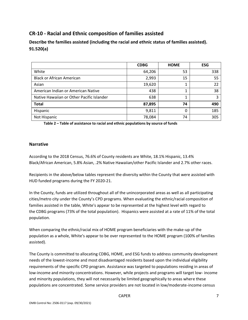# **CR-10 - Racial and Ethnic composition of families assisted**

**Describe the families assisted (including the racial and ethnic status of families assisted). 91.520(a)** 

|                                           | <b>CDBG</b> | <b>HOME</b> | <b>ESG</b> |
|-------------------------------------------|-------------|-------------|------------|
| White                                     | 64,206      | 53          | 338        |
| <b>Black or African American</b>          | 2,993       | 15          | 55         |
| Asian                                     | 19,620      | 1           | 22         |
| American Indian or American Native        | 438         | 1           | 38         |
| Native Hawaiian or Other Pacific Islander | 638         | 1           |            |
| <b>Total</b>                              | 87,895      | 74          | 490        |
| Hispanic                                  | 9,811       | 0           | 185        |
| Not Hispanic                              | 78,084      | 74          | 305        |

**Table 2 – Table of assistance to racial and ethnic populations by source of funds**

#### **Narrative**

According to the 2018 Census, 76.6% of County residents are White, 18.1% Hispanic, 13.4% Black/African American, 5.8% Asian, .2% Native Hawaiian/other Pacific Islander and 2.7% other races.

Recipients in the above/below tables represent the diversity within the County that were assisted with HUD funded programs during the FY 2020-21.

In the County, funds are utilized throughout all of the unincorporated areas as well as all participating cities/metro city under the County's CPD programs. When evaluating the ethnic/racial composition of families assisted in the table, White's appear to be represented at the highest level with regard to the CDBG programs (73% of the total population). Hispanics were assisted at a rate of 11% of the total population.

When comparing the ethnic/racial mix of HOME program beneficiaries with the make-up of the population as a whole, White's appear to be over represented to the HOME program (100% of families assisted).

The County is committed to allocating CDBG, HOME, and ESG funds to address community development needs of the lowest-income and most disadvantaged residents based upon the individual eligibility requirements of the specific CPD program. Assistance was targeted to populations residing in areas of low-income and minority concentrations. However, while projects and programs will target low- income and minority populations, they will not necessarily be limited geographically to areas where these populations are concentrated. Some service providers are not located in low/moderate-income census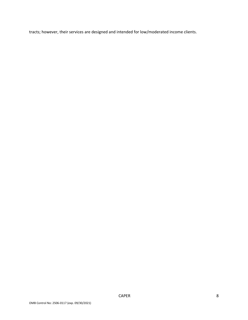tracts; however, their services are designed and intended for low/moderated income clients.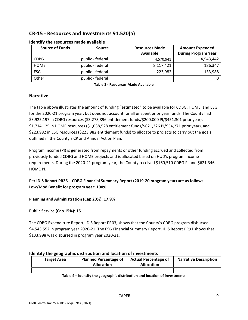# **CR-15 - Resources and Investments 91.520(a)**

| <b>Source of Funds</b> | Source           | <b>Resources Made</b> | <b>Amount Expended</b>     |
|------------------------|------------------|-----------------------|----------------------------|
|                        |                  | Available             | <b>During Program Year</b> |
| <b>CDBG</b>            | public - federal | 4,570,941             | 4,543,442                  |
| <b>HOME</b>            | public - federal | 8,117,421             | 186,347                    |
| <b>ESG</b>             | public - federal | 223,982               | 133,988                    |
| Other                  | public - federal |                       |                            |

#### **Identify the resources made available**

**Table 3 - Resources Made Available**

#### **Narrative**

The table above illustrates the amount of funding "estimated" to be available for CDBG, HOME, and ESG for the 2020-21 program year, but does not account for all unspent prior year funds. The County had \$3,925,197 in CDBG resources (\$3,273,896 entitlement funds/\$200,000 PI/\$451,301 prior year), \$1,714,125 in HOME resources (\$1,038,528 entitlement funds/\$621,326 PI/\$54,271 prior year), and \$223,982 in ESG resources (\$223,982 entitlement funds) to allocate to projects to carry out the goals outlined in the County's CP and Annual Action Plan.

Program Income (PI) is generated from repayments or other funding accrued and collected from previously funded CDBG and HOME projects and is allocated based on HUD's program income requirements. During the 2020-21 program year, the County received \$160,510 CDBG PI and \$621,346 HOME PI.

**Per IDIS Report PR26 – CDBG Financial Summary Report (2019-20 program year) are as follows: Low/Mod Benefit for program year: 100%**

**Planning and Administration (Cap 20%): 17.9%**

**Public Service (Cap 15%): 15**

The CDBG Expenditure Report, IDIS Report PR03, shows that the County's CDBG program disbursed \$4,543,552 in program year 2020-21. The ESG Financial Summary Report, IDIS Report PR91 shows that \$133,998 was disbursed in program year 2020-21.

## **Identify the geographic distribution and location of investments**

| <b>Target Area</b> | <b>Planned Percentage of</b><br><b>Allocation</b> | <b>Actual Percentage of</b><br><b>Allocation</b> | <b>Narrative Description</b> |
|--------------------|---------------------------------------------------|--------------------------------------------------|------------------------------|
|                    |                                                   |                                                  |                              |

**Table 4 – Identify the geographic distribution and location of investments**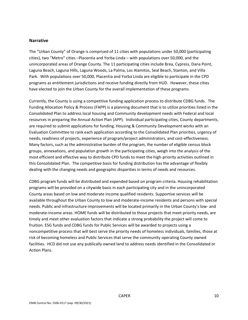#### **Narrative**

The "Urban County" of Orange is comprised of 11 cities with populations under 50,000 (participating cities), two "Metro" cities –Placentia and Yorba Linda – with populations over 50,000, and the unincorporated areas of Orange County. The 11 participating cities include Brea, Cypress, Dana Point, Laguna Beach, Laguna Hills, Laguna Woods, La Palma, Los Alamitos, Seal Beach, Stanton, and Villa Park. With populations over 50,000, Placentia and Yorba Linda are eligible to participate in the CPD programs as entitlement jurisdictions and receive funding directly from HUD. However, these cities have elected to join the Urban County for the overall implementation of these programs.

Currently, the County is using a competitive funding application process to distribute CDBG funds. The Funding Allocation Policy & Process (FAPP) is a planning document that is to utilize priorities listed in the Consolidated Plan to address local housing and Community development needs with Federal and local resources in preparing the Annual Action Plan (APP). Individual participating cities, County departments, are required to submit applications for funding. Housing & Community Development works with an Evaluation Committee to rank each application according to the Consolidated Plan priorities, urgency of needs, readiness of projects, experience of program/project administrators, and cost-effectiveness. Many factors, such as the administrative burden of the program, the number of eligible census block groups, annexations, and population growth in the participating cities, weigh into the analysis of the most efficient and effective way to distribute CPD funds to meet the high-priority activities outlined in this Consolidated Plan. The competitive basis for funding distribution has the advantage of flexibly dealing with the changing needs and geographic disparities in terms of needs and resources.

CDBG program funds will be distributed and expended based on program criteria. Housing rehabilitation programs will be provided on a citywide basis in each participating city and in the unincorporated County areas based on low and moderate income qualified residents. Supportive services will be available throughout the Urban County to low and moderate-income residents and persons with special needs. Public and infrastructure improvements will be located primarily in the Urban County's low- and moderate-income areas. HOME funds will be distributed to those projects that meet priority needs, are timely and meet other evaluation factors that indicate a strong probability the project will come to fruition. ESG funds and CDBG funds for Public Services will be awarded to projects using a noncompetitive process that will best serve the priority needs of homeless individuals, families, those at risk of becoming homeless and Public Services that serve the community operating County owned facilities. HCD did not use any publically owned land to address needs identified in the Consolidated or Action Plans.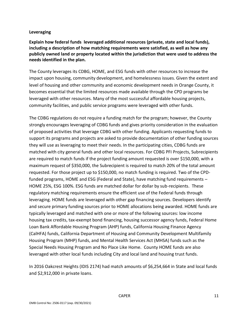## **Leveraging**

**Explain how federal funds leveraged additional resources (private, state and local funds), including a description of how matching requirements were satisfied, as well as how any publicly owned land or property located within the jurisdiction that were used to address the needs identified in the plan.**

The County leverages its CDBG, HOME, and ESG funds with other resources to increase the impact upon housing, community development, and homelessness issues. Given the extent and level of housing and other community and economic development needs in Orange County, it becomes essential that the limited resources made available through the CPD programs be leveraged with other resources. Many of the most successful affordable housing projects, community facilities, and public service programs were leveraged with other funds.

The CDBG regulations do not require a funding match for the program; however, the County strongly encourages leveraging of CDBG funds and gives priority consideration in the evaluation of proposed activities that leverage CDBG with other funding. Applicants requesting funds to support its programs and projects are asked to provide documentation of other funding sources they will use as leveraging to meet their needs. In the participating cities, CDBG funds are matched with city general funds and other local resources. For CDBG PFI Projects, Subrecipients are required to match funds if the project funding amount requested is over \$150,000, with a maximum request of \$350,000, the Subrecipient is required to match 20% of the total amount requested. For those project up to \$150,000, no match funding is required. Two of the CPDfunded programs, HOME and ESG (Federal and State), have matching fund requirements – HOME 25%, ESG 100%. ESG funds are matched dollar for dollar by sub-recipients. These regulatory matching requirements ensure the efficient use of the Federal funds through leveraging. HOME funds are leveraged with other gap financing sources. Developers identify and secure primary funding sources prior to HOME allocations being awarded. HOME funds are typically leveraged and matched with one or more of the following sources: low income housing tax credits, tax-exempt bond financing, housing successor agency funds, Federal Home Loan Bank Affordable Housing Program (AHP) funds, California Housing Finance Agency (CalHFA) funds, California Department of Housing and Community Development Multifamily Housing Program (MHP) funds, and Mental Health Services Act (MHSA) funds such as the Special Needs Housing Program and No Place Like Home. County HOME funds are also leveraged with other local funds including City and local land and housing trust funds.

In 2016 Oakcrest Heights (IDIS 2174) had match amounts of \$6,254,664 in State and local funds and \$2,912,000 in private loans.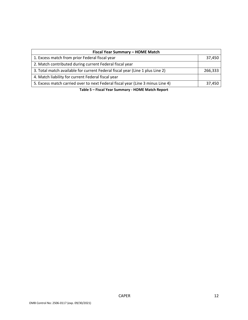| Fiscal Year Summary - HOME Match                                                                                                                                                                                              |         |  |  |  |  |
|-------------------------------------------------------------------------------------------------------------------------------------------------------------------------------------------------------------------------------|---------|--|--|--|--|
| 1. Excess match from prior Federal fiscal year                                                                                                                                                                                | 37,450  |  |  |  |  |
| 2. Match contributed during current Federal fiscal year                                                                                                                                                                       |         |  |  |  |  |
| 3. Total match available for current Federal fiscal year (Line 1 plus Line 2)                                                                                                                                                 | 266,333 |  |  |  |  |
| 4. Match liability for current Federal fiscal year                                                                                                                                                                            |         |  |  |  |  |
| 5. Excess match carried over to next Federal fiscal year (Line 3 minus Line 4)                                                                                                                                                | 37,450  |  |  |  |  |
| $-1$ . The contract of the contract of the contract of the contract of the contract of the contract of the contract of the contract of the contract of the contract of the contract of the contract of the contract of the co |         |  |  |  |  |

**Table 5 – Fiscal Year Summary - HOME Match Report**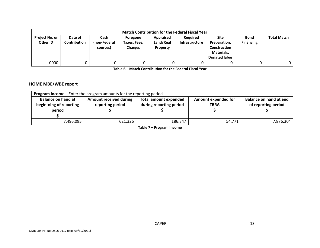|                |              |              |                | <b>Match Contribution for the Federal Fiscal Year</b> |                       |                                   |                  |                    |
|----------------|--------------|--------------|----------------|-------------------------------------------------------|-----------------------|-----------------------------------|------------------|--------------------|
| Project No. or | Date of      | Cash         | Foregone       | Appraised                                             | <b>Required</b>       | <b>Site</b>                       | <b>Bond</b>      | <b>Total Match</b> |
| Other ID       | Contribution | (non-Federal | Taxes, Fees,   | Land/Real                                             | <b>Infrastructure</b> | Preparation,                      | <b>Financing</b> |                    |
|                |              | sources)     | <b>Charges</b> | Property                                              |                       | <b>Construction</b><br>Materials, |                  |                    |
|                |              |              |                |                                                       |                       |                                   |                  |                    |
|                |              |              |                |                                                       |                       | <b>Donated labor</b>              |                  |                    |
| 0000           |              |              |                |                                                       |                       |                                   |                  |                    |

**Table 6 – Match Contribution for the Federal Fiscal Year**

# **HOME MBE/WBE report**

|                                                                | Program Income - Enter the program amounts for the reporting period |                                                         |                                           |                                               |
|----------------------------------------------------------------|---------------------------------------------------------------------|---------------------------------------------------------|-------------------------------------------|-----------------------------------------------|
| <b>Balance on hand at</b><br>begin-ning of reporting<br>period | <b>Amount received during</b><br>reporting period                   | <b>Total amount expended</b><br>during reporting period | <b>Amount expended for</b><br><b>TBRA</b> | Balance on hand at end<br>of reporting period |
| 7,496,095                                                      | 621,326                                                             | 186,347                                                 | 54,771                                    | 7,876,304                                     |

**Table 7 – Program Income**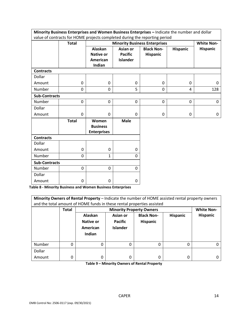|                      | Minority Business Enterprises and Women Business Enterprises - Indicate the number and dollar |                    |                 |                                      |                 |                   |
|----------------------|-----------------------------------------------------------------------------------------------|--------------------|-----------------|--------------------------------------|-----------------|-------------------|
|                      | value of contracts for HOME projects completed during the reporting period                    |                    |                 |                                      |                 |                   |
|                      | <b>Total</b>                                                                                  |                    |                 | <b>Minority Business Enterprises</b> |                 | <b>White Non-</b> |
|                      |                                                                                               | <b>Alaskan</b>     | Asian or        | <b>Black Non-</b>                    | <b>Hispanic</b> | <b>Hispanic</b>   |
|                      |                                                                                               | <b>Native or</b>   | <b>Pacific</b>  | <b>Hispanic</b>                      |                 |                   |
|                      |                                                                                               | American           | <b>Islander</b> |                                      |                 |                   |
|                      |                                                                                               | Indian             |                 |                                      |                 |                   |
| <b>Contracts</b>     |                                                                                               |                    |                 |                                      |                 |                   |
| Dollar               |                                                                                               |                    |                 |                                      |                 |                   |
| Amount               | 0                                                                                             | $\mathbf 0$        | 0               | 0                                    | 0               | 0                 |
| Number               | 0                                                                                             | 0                  | 5               | 0                                    | $\overline{a}$  | 128               |
| <b>Sub-Contracts</b> |                                                                                               |                    |                 |                                      |                 |                   |
| Number               | 0                                                                                             | $\mathbf 0$        | 0               | 0                                    | $\mathbf 0$     | 0                 |
| Dollar               |                                                                                               |                    |                 |                                      |                 |                   |
| Amount               | 0                                                                                             | 0                  | 0               | 0                                    | 0               | 0                 |
|                      | <b>Total</b>                                                                                  | Women              | <b>Male</b>     |                                      |                 |                   |
|                      |                                                                                               | <b>Business</b>    |                 |                                      |                 |                   |
|                      |                                                                                               | <b>Enterprises</b> |                 |                                      |                 |                   |
| <b>Contracts</b>     |                                                                                               |                    |                 |                                      |                 |                   |
| Dollar               |                                                                                               |                    |                 |                                      |                 |                   |
| Amount               | 0                                                                                             | $\mathbf 0$        | 0               |                                      |                 |                   |
| Number               | 0                                                                                             | $\mathbf{1}$       | $\Omega$        |                                      |                 |                   |
| <b>Sub-Contracts</b> |                                                                                               |                    |                 |                                      |                 |                   |
| Number               | 0                                                                                             | 0                  | 0               |                                      |                 |                   |
| Dollar               |                                                                                               |                    |                 |                                      |                 |                   |
| Amount               | 0                                                                                             | 0                  | 0               |                                      |                 |                   |

**Table 8 - Minority Business and Women Business Enterprises**

|        |              | Minority Owners of Rental Property - Indicate the number of HOME assisted rental property owners<br>and the total amount of HOME funds in these rental properties assisted |                                                      |                                      |                 |                 |  |
|--------|--------------|----------------------------------------------------------------------------------------------------------------------------------------------------------------------------|------------------------------------------------------|--------------------------------------|-----------------|-----------------|--|
|        | <b>Total</b> |                                                                                                                                                                            | <b>White Non-</b><br><b>Minority Property Owners</b> |                                      |                 |                 |  |
|        |              | Alaskan<br><b>Native or</b><br>American<br>Indian                                                                                                                          | Asian or<br><b>Pacific</b><br><b>Islander</b>        | <b>Black Non-</b><br><b>Hispanic</b> | <b>Hispanic</b> | <b>Hispanic</b> |  |
| Number | 0            | 0                                                                                                                                                                          | $\Omega$                                             | 0                                    | 0               |                 |  |
| Dollar |              |                                                                                                                                                                            |                                                      |                                      |                 |                 |  |
| Amount | 0            | 0                                                                                                                                                                          | 0                                                    | 0                                    | 0               |                 |  |

**Table 9 – Minority Owners of Rental Property**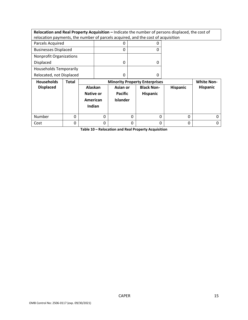|                                                                                  |              |           |          |                 |   |                                      | Relocation and Real Property Acquisition - Indicate the number of persons displaced, the cost of |                   |
|----------------------------------------------------------------------------------|--------------|-----------|----------|-----------------|---|--------------------------------------|--------------------------------------------------------------------------------------------------|-------------------|
| relocation payments, the number of parcels acquired, and the cost of acquisition |              |           |          |                 |   |                                      |                                                                                                  |                   |
| Parcels Acquired                                                                 |              |           |          | 0               |   | 0                                    |                                                                                                  |                   |
| <b>Businesses Displaced</b>                                                      |              |           |          | 0               |   | 0                                    |                                                                                                  |                   |
| <b>Nonprofit Organizations</b>                                                   |              |           |          |                 |   |                                      |                                                                                                  |                   |
| Displaced                                                                        |              |           |          | 0               |   | <sup>0</sup>                         |                                                                                                  |                   |
| Households Temporarily                                                           |              |           |          |                 |   |                                      |                                                                                                  |                   |
| Relocated, not Displaced                                                         |              |           |          | 0               |   | 0                                    |                                                                                                  |                   |
|                                                                                  |              |           |          |                 |   |                                      |                                                                                                  |                   |
| <b>Households</b>                                                                | <b>Total</b> |           |          |                 |   | <b>Minority Property Enterprises</b> |                                                                                                  | <b>White Non-</b> |
| <b>Displaced</b>                                                                 |              | Alaskan   |          | Asian or        |   | <b>Black Non-</b>                    | Hispanic                                                                                         | <b>Hispanic</b>   |
|                                                                                  |              | Native or |          | <b>Pacific</b>  |   | <b>Hispanic</b>                      |                                                                                                  |                   |
|                                                                                  |              | American  |          | <b>Islander</b> |   |                                      |                                                                                                  |                   |
|                                                                                  |              | Indian    |          |                 |   |                                      |                                                                                                  |                   |
|                                                                                  |              |           |          |                 |   |                                      |                                                                                                  |                   |
| Number                                                                           | 0            |           | $\Omega$ |                 | 0 | $\Omega$                             | 0                                                                                                |                   |

**Table 10 – Relocation and Real Property Acquisition**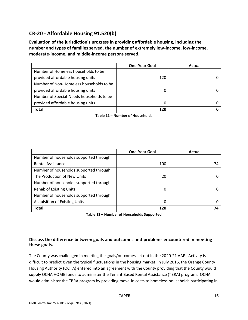# **CR-20 - Affordable Housing 91.520(b)**

**Evaluation of the jurisdiction's progress in providing affordable housing, including the number and types of families served, the number of extremely low-income, low-income, moderate-income, and middle-income persons served.**

|                                          | <b>One-Year Goal</b> | Actual |
|------------------------------------------|----------------------|--------|
| Number of Homeless households to be      |                      |        |
| provided affordable housing units        | 120                  |        |
| Number of Non-Homeless households to be  |                      |        |
| provided affordable housing units        | 0                    |        |
| Number of Special-Needs households to be |                      |        |
| provided affordable housing units        | O                    |        |
| <b>Total</b>                             | 120                  |        |

|  |  | Table 11 – Number of Households |
|--|--|---------------------------------|
|--|--|---------------------------------|

|                                        | <b>One-Year Goal</b> | Actual |
|----------------------------------------|----------------------|--------|
| Number of households supported through |                      |        |
| <b>Rental Assistance</b>               | 100                  | 74     |
| Number of households supported through |                      |        |
| The Production of New Units            | 20                   |        |
| Number of households supported through |                      |        |
| <b>Rehab of Existing Units</b>         | 0                    |        |
| Number of households supported through |                      |        |
| <b>Acquisition of Existing Units</b>   | 0                    |        |
| <b>Total</b>                           | 120                  | 74     |

**Table 12 – Number of Households Supported**

## **Discuss the difference between goals and outcomes and problems encountered in meeting these goals.**

The County was challenged in meeting the goals/outcomes set out in the 2020-21 AAP. Activity is difficult to predict given the typical fluctuations in the housing market. In July 2016, the Orange County Housing Authority (OCHA) entered into an agreement with the County providing that the County would supply OCHA HOME funds to administer the Tenant Based Rental Assistance (TBRA) program. OCHA would administer the TBRA program by providing move-in costs to homeless households participating in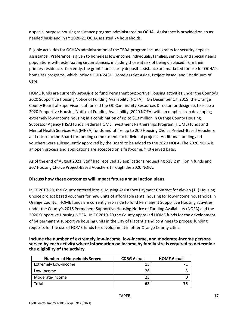a special purpose housing assistance program administered by OCHA. Assistance is provided on an as needed basis and in FY 2020-21 OCHA assisted 74 households.

Eligible activities for OCHA's administration of the TBRA program include grants for security deposit assistance. Preference is given to homeless low-income individuals, families, seniors, and special needs populations with extenuating circumstances, including those at risk of being displaced from their primary residence. Currently, the grants for security deposit assistance are marketed for use for OCHA's homeless programs, which include HUD-VASH, Homeless Set Aside, Project Based, and Continuum of Care.

HOME funds are currently set-aside to fund Permanent Supportive Housing activities under the County's 2020 Supportive Housing Notice of Funding Availability (NOFA) . On December 17, 2019, the Orange County Board of Supervisors authorized the OC Community Resources Director, or designee, to issue a 2020 Supportive Housing Notice of Funding Availability (2020 NOFA) with an emphasis on developing extremely low-income housing in a combination of up to \$13 million in Orange County Housing Successor Agency (HSA) funds, Federal HOME Investment Partnerships Program (HOME) funds and Mental Health Services Act (MHSA) funds and utilize up to 200 Housing Choice Project-Based Vouchers and return to the Board for funding commitments to individual projects. Additional funding and vouchers were subsequently approved by the Board to be added to the 2020 NOFA. The 2020 NOFA is an open process and applications are accepted on a first-come, first-served basis.

As of the end of August 2021, Staff had received 15 applications requesting \$18.2 millionin funds and 307 Housing Choice Project-Based Vouchers through the 2020 NOFA.

## **Discuss how these outcomes will impact future annual action plans.**

In FY 2019-20, the County entered into a Housing Assistance Payment Contract for eleven (11) Housing Choice project based vouchers for new units of affordable rental housing for low-income households in Orange County. HOME funds are currently set-aside to fund Permanent Supportive Housing activities under the County's 2016 Permanent Supportive Housing Notice of Funding Availability (NOFA) and the 2020 Supportive Housing NOFA. In FY 2019-20,the County approved HOME funds for the development of 64 permanent supportive housing units in the City of Placentia and continues to process funding requests for the use of HOME funds for development in other Orange County cities.

#### **Include the number of extremely low-income, low-income, and moderate-income persons served by each activity where information on income by family size is required to determine the eligibility of the activity.**

| <b>Number of Households Served</b> | <b>CDBG Actual</b> | <b>HOME Actual</b> |
|------------------------------------|--------------------|--------------------|
| <b>Extremely Low-income</b>        | 13                 |                    |
| Low-income                         | 26                 |                    |
| Moderate-income                    | 23                 |                    |
| Total                              | 62                 | 75                 |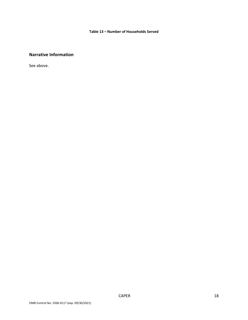#### **Table 13 – Number of Households Served**

#### **Narrative Information**

See above.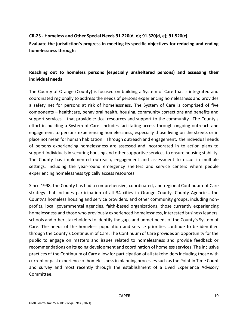## **CR-25 - Homeless and Other Special Needs 91.220(d, e); 91.320(d, e); 91.520(c)**

**Evaluate the jurisdiction's progress in meeting its specific objectives for reducing and ending homelessness through:**

# **Reaching out to homeless persons (especially unsheltered persons) and assessing their individual needs**

The County of Orange (County) is focused on building a System of Care that is integrated and coordinated regionally to address the needs of persons experiencing homelessness and provides a safety net for persons at risk of homelessness. The System of Care is comprised of five components – healthcare, behavioral health, housing, community corrections and benefits and support services – that provide critical resources and support to the community. The County's effort in building a System of Care includes facilitating access through ongoing outreach and engagement to persons experiencing homelessness, especially those living on the streets or in place not mean for human habitation. Through outreach and engagement, the individual needs of persons experiencing homelessness are assessed and incorporated in to action plans to support individuals in securing housing and other supportive services to ensure housing stability. The County has implemented outreach, engagement and assessment to occur in multiple settings, including the year-round emergency shelters and service centers where people experiencing homelessness typically access resources.

Since 1998, the County has had a comprehensive, coordinated, and regional Continuum of Care strategy that includes participation of all 34 cities in Orange County, County Agencies, the County's homeless housing and service providers, and other community groups, including nonprofits, local governmental agencies, faith-based organizations, those currently experiencing homelessness and those who previously experienced homelessness, interested business leaders, schools and other stakeholders to identify the gaps and unmet needs of the County's System of Care. The needs of the homeless population and service priorities continue to be identified through the County's Continuum of Care. The Continuum of Care provides an opportunity for the public to engage on matters and issues related to homelessness and provide feedback or recommendations on its going development and coordination of homeless services. The inclusive practices of the Continuum of Care allow for participation of all stakeholders including those with current or past experience of homelessnessin planning processes such as the Point In Time Count and survey and most recently through the establishment of a Lived Experience Advisory Committee.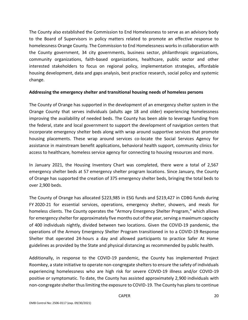The County also established the Commission to End Homelessness to serve as an advisory body to the Board of Supervisors in policy matters related to promote an effective response to homelessness Orange County. The Commission to End Homelessness works in collaboration with the County government, 34 city governments, business sector, philanthropic organizations, community organizations, faith-based organizations, healthcare, public sector and other interested stakeholders to focus on regional policy, implementation strategies, affordable housing development, data and gaps analysis, best practice research, social policy and systemic change.

## **Addressing the emergency shelter and transitional housing needs of homeless persons**

The County of Orange has supported in the development of an emergency shelter system in the Orange County that serves individuals (adults age 18 and older) experiencing homelessness improving the availability of needed beds. The County has been able to leverage funding from the federal, state and local government to support the development of navigation centers that incorporate emergency shelter beds along with wrap around supportive services that promote housing placements. These wrap around services co-locate the Social Services Agency for assistance in mainstream benefit applications, behavioral health support, community clinics for access to healthcare, homeless service agency for connecting to housing resources and more.

In January 2021, the Housing Inventory Chart was completed, there were a total of 2,567 emergency shelter beds at 57 emergency shelter program locations. Since January, the County of Orange has supported the creation of 375 emergency shelter beds, bringing the total beds to over 2,900 beds.

The County of Orange has allocated \$223,985 in ESG funds and \$219,427 in CDBG funds during FY 2020-21 for essential services, operations, emergency shelter, showers, and meals for homeless clients. The County operates the "Armory Emergency Shelter Program," which allows for emergency shelter for approximately five months out of the year, serving a maximum capacity of 400 individuals nightly, divided between two locations. Given the COVID-19 pandemic, the operations of the Armory Emergency Shelter Program transitioned in to a COVID-19 Response Shelter that operated 24-hours a day and allowed participants to practice Safer At Home guidelines as provided by the State and physical distancing as recommended by public health.

Additionally, in response to the COVID-19 pandemic, the County has implemented Project Roomkey, a state initiative to operate non-congregate shelters to ensure the safety of individuals experiencing homelessness who are high risk for severe COVID-19 illness and/or COVID-19 positive or symptomatic. To date, the County has assisted approximately 2,900 individuals with non-congregate shelter thus limiting the exposure to COVID-19. The County has plans to continue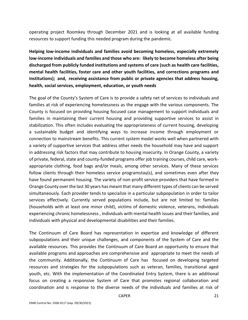operating project Roomkey through December 2021 and is looking at all available funding resources to support funding this needed program during the pandemic.

**Helping low-income individuals and families avoid becoming homeless, especially extremely low-income individuals and families and those who are: likely to become homeless after being discharged from publicly funded institutions and systems of care (such as health care facilities, mental health facilities, foster care and other youth facilities, and corrections programs and institutions); and, receiving assistance from public or private agencies that address housing, health, social services, employment, education, or youth needs**

The goal of the County's System of Care is to provide a safety net of services to individuals and families at risk of experiencing homelessness as the engage with the various components. The County is focused on providing housing focused case management to support individuals and families in maintaining their current housing and providing supportive services to assist in stabilization. This often includes evaluating the appropriateness of current housing, developing a sustainable budget and identifying ways to increase income through employment or connection to mainstream benefits. This current system model works well when partnered with a variety of supportive services that address other needs the household may have and support in addressing risk factors that may contribute to housing insecurity. In Orange County, a variety of private, federal, state and county-funded programs offer job training courses, child care, workappropriate clothing, food bags and/or meals, among other services. Many of these services follow clients through their homeless service programstay(s), and sometimes even after they have found permanent housing. The variety of non-profit service providers that have formed in Orange County over the last 30 years has meant that many different types of clients can be served simultaneously. Each provider tends to specialize in a particular subpopulation in order to tailor services effectively. Currently served populations include, but are not limited to: families (households with at least one minor child), victims of domestic violence, veterans, individuals experiencing chronic homelessness , individuals with mental health issues and their families, and individuals with physical and developmental disabilities and their families.

The Continuum of Care Board has representation in expertise and knowledge of different subpopulations and their unique challenges, and components of the System of Care and the available resources. This provides the Continuum of Care Board an opportunity to ensure that available programs and approaches are comprehensive and appropriate to meet the needs of the community. Additionally, the Continuum of Care has focused on developing targeted resources and strategies for the subpopulations such as veteran, families, transitional aged youth, etc. With the implementation of the Coordinated Entry System, there is an additional focus on creating a responsive System of Care that promotes regional collaboration and coordination and is response to the diverse needs of the individuals and families at risk of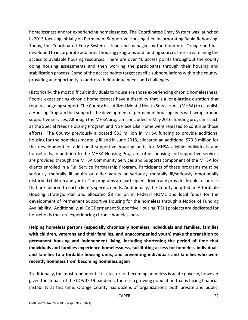homelessness and/or experiencing homelessness. The Coordinated Entry System was launched in 2015 focusing initially on Permanent Supportive Housing then incorporating Rapid Rehousing. Today, the Coordinated Entry System is lead and managed by the County of Orange and has developed to incorporate additional housing programs and funding sources thus streamlining the access to available housing resources. There are over 40 access points throughout the county doing housing assessments and then working the participants through their housing and stabilization process. Some of the access points target specific subpopulations within the county, providing an opportunity to address their unique needs and challenges.

Historically, the most difficult individuals to house are those experiencing chronic homelessness. People experiencing chronic homelessness have a disability that is a long-lasting duration that requires ongoing support. The County has utilized Mental Health Services Act (MHSA) to establish a Housing Program that supports the development of permanent housing units with wrap around supportive services. Although the MHSA program concluded in May 2016, funding programs such as the Special Needs Housing Program and No Place Like Home were released to continue those efforts. The County previously allocated \$33 million in MHSA funding to provide additional housing for the homeless mentally ill and in June 2018, allocated an additional \$70.5 million for the development of additional supportive housing units for MHSA eligible individuals and households. In addition to the MHSA Housing Program, other housing and supportive services are provided through the MHSA Community Services and Supports component of the MHSA for clients enrolled in a Full Service Partnership Program. Participants of these programs must be seriously mentally ill adults or older adults or seriously mentally ill/seriously emotionally disturbed children and youth. The programs are participant-driven and provide flexible resources that are tailored to each client's specific needs. Additionally, the County adopted an Affordable Housing Strategic Plan and allocated \$8 million in Federal HOME and local funds for the development of Permanent Supportive Housing for the homeless through a Notice of Funding Availability. Additionally, all CoC Permanent Supportive Housing (PSH) projects are dedicated for households that are experiencing chronic homelessness.

**Helping homeless persons (especially chronically homeless individuals and families, families with children, veterans and their families, and unaccompanied youth) make the transition to permanent housing and independent living, including shortening the period of time that individuals and families experience homelessness, facilitating access for homeless individuals and families to affordable housing units, and preventing individuals and families who were recently homeless from becoming homeless again**

Traditionally, the most fundamental risk factor for becoming homeless is acute poverty, however given the impact of the COVID-19 pandemic there is a growing population that is facing financial instability at this time. Orange County has dozens of organizations, both private and public,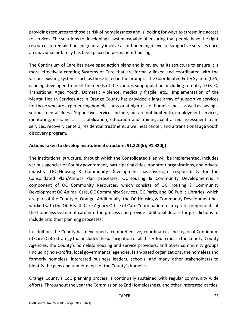providing resources to those at risk of homelessness and is looking for ways to streamline access to services. The solutions to developing a system capable of ensuring that people have the right resources to remain housed generally involve a continued high level of supportive services once an individual or family has been placed in permanent housing.

The Continuum of Care has developed action plans and is reviewing its structure to ensure it is more effectively creating Systems of Care that are formally linked and coordinated with the various existing systems such as those listed in the prompt. The Coordinated Entry System (CES) is being developed to meet the needs of the various subpopulation, including re-entry, LGBTQ, Transitional Aged Youth, Domestic Violence, medically fragile, etc.. Implementation of the Mental Health Services Act in Orange County has provided a large array of supportive services for those who are experiencing homelessness or at high-risk of homelessness as well as having a serious mental illness. Supportive services include, but are not limited to, employment services, mentoring, in-home crisis stabilization, education and training, centralized assessment team services, recovery centers, residential treatment, a wellness center, and a transitional age youth discovery program.

## **Actions taken to develop institutional structure. 91.220(k); 91.320(j)**

The institutional structure, through which the Consolidated Plan will be implemented, includes various agencies of County government, participating cities, nonprofit organizations, and private industry. OC Housing & Community Development has oversight responsibility for the Consolidated Plan/Annual Plan processes. OC Housing & Community Development is a component of OC Community Resources, which consists of OC Housing & Community Development OC Animal Care, OC Community Services, OC Parks, and OC Public Libraries, which are part of the County of Orange. Additionally, the OC Housing & Community Development has worked with the OC Health Care Agency Office of Care Coordination to integrate components of the homeless system of care into the process and provide additional details for jurisdictions to include into their planning processes.

In addition, the County has developed a comprehensive, coordinated, and regional Continuum of Care (CoC) strategy that includes the participation of all thirty-four cities in the County, County Agencies, the County's homeless housing and service providers, and other community groups (including non-profits, local governmental agencies, faith-based organizations, the homeless and formerly homeless, interested business leaders, schools, and many other stakeholders) to identify the gaps and unmet needs of the County's homeless.

Orange County's CoC planning process is continually sustained with regular community wide efforts. Throughout the year the Commission to End Homelessness, and other interested parties,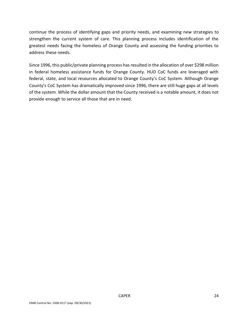continue the process of identifying gaps and priority needs, and examining new strategies to strengthen the current system of care. This planning process includes identification of the greatest needs facing the homeless of Orange County and assessing the funding priorities to address these needs.

Since 1996, this public/private planning process has resulted in the allocation of over \$298 million in federal homeless assistance funds for Orange County. HUD CoC funds are leveraged with federal, state, and local resources allocated to Orange County's CoC System. Although Orange County's CoC System has dramatically improved since 1996, there are still huge gaps at all levels of the system. While the dollar amount that the County received is a notable amount, it does not provide enough to service all those that are in need.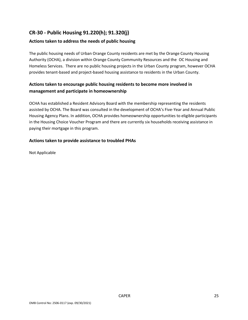# **CR-30 - Public Housing 91.220(h); 91.320(j)**

## **Actions taken to address the needs of public housing**

The public housing needs of Urban Orange County residents are met by the Orange County Housing Authority (OCHA), a division within Orange County Community Resources and the OC Housing and Homeless Services. There are no public housing projects in the Urban County program, however OCHA provides tenant-based and project-based housing assistance to residents in the Urban County.

# **Actions taken to encourage public housing residents to become more involved in management and participate in homeownership**

OCHA has established a Resident Advisory Board with the membership representing the residents assisted by OCHA. The Board was consulted in the development of OCHA's Five-Year and Annual Public Housing Agency Plans. In addition, OCHA provides homeownership opportunities to eligible participants in the Housing Choice Voucher Program and there are currently six households receiving assistance in paying their mortgage in this program.

#### **Actions taken to provide assistance to troubled PHAs**

Not Applicable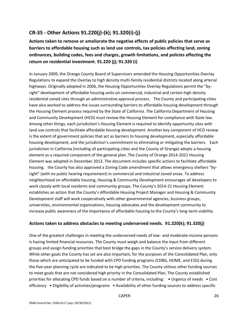# **CR-35 - Other Actions 91.220(j)-(k); 91.320(i)-(j)**

**Actions taken to remove or ameliorate the negative effects of public policies that serve as barriers to affordable housing such as land use controls, tax policies affecting land, zoning ordinances, building codes, fees and charges, growth limitations, and policies affecting the return on residential investment. 91.220 (j); 91.320 (i)**

In January 2009, the Orange County Board of Supervisors amended the Housing Opportunities Overlay Regulations to expand the Overlay to high density multi-family residential districts located along arterial highways. Originally adopted in 2006, the Housing Opportunities Overlay Regulations permit the "byright" development of affordable housing units on commercial, industrial and certain high density residential zoned sites through an administrative approval process. The County and participating cities have also worked to address the issues surrounding barriers to affordable housing development through the Housing Element process required by the State of California. The California Department of Housing and Community Development (HCD) must review the Housing Element for compliance with State law. Among other things, each jurisdiction's Housing Element is required to identify opportunity sites with land use controls that facilitate affordable housing development. Another key component of HCD review is the extent of government policies that act as barriers to housing development, especially affordable housing development, and the jurisdiction's commitment to eliminating or mitigating the barriers. Each jurisdiction in California (including all participating cities and the County of Orange) adopts a housing element as a required component of the general plan. The County of Orange 2014-2021 Housing Element was adopted in December 2013. The document includes specific actions to facilitate affordable housing. the County has also approved a Zoning Code amendment that allows emergency shelters "byright" (with no public hearing requirement) in commercial and industrial zoned areas. To address neighborhood on affordable housing, Housing & Community Development encourages all developers to work closely with local residents and community groups. The County's 2014-21 Housing Element establishes an action that the County's Affordable Housing Project Manager and Housing & Community Development staff will work cooperatively with other governmental agencies, business groups, universities, environmental organizations, housing advocates and the development community to increase public awareness of the importance of affordable housing to the County's long-term viability.

## **Actions taken to address obstacles to meeting underserved needs. 91.220(k); 91.320(j)**

One of the greatest challenges in meeting the underserved needs of low- and moderate-income persons is having limited financial resources. The County must weigh and balance the input from different groups and assign funding priorities that best bridge the gaps in the County's service delivery system. While other goals the County has set are also important, for the purposes of the Consolidated Plan, only those which are anticipated to be funded with CPD funding programs (CDBG, HOME, and ESG) during the five-year planning cycle are indicated to be high priorities. The County utilizes other funding sources to meet goals that are not considered high priority in the Consolidated Plan. The County established priorities for allocating CPD funds based on a number of criteria, including: • Urgency of needs • Cost efficiency • Eligibility of activities/programs • Availability of other funding sources to address specific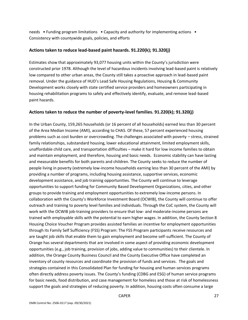needs • Funding program limitations • Capacity and authority for implementing actions • Consistency with countywide goals, policies, and efforts

#### **Actions taken to reduce lead-based paint hazards. 91.220(k); 91.320(j)**

Estimates show that approximately 93,077 housing units within the County's jurisdiction were constructed prior 1978. Although the level of hazardous incidents involving lead-based paint is relatively low compared to other urban areas, the County still takes a proactive approach in lead-based paint removal. Under the guidance of HUD's Lead Safe Housing Regulations, Housing & Community Development works closely with state certified service providers and homeowners participating in housing rehabilitation programs to safely and effectively identify, evaluate, and remove lead-based paint hazards.

## **Actions taken to reduce the number of poverty-level families. 91.220(k); 91.320(j)**

In the Urban County, 159,265 households (or 16 percent of all households) earned less than 30 percent of the Area Median Income (AMI), according to CHAS. Of these, 57 percent experienced housing problems such as cost burden or overcrowding. The challenges associated with poverty – stress, strained family relationships, substandard housing, lower educational attainment, limited employment skills, unaffordable child care, and transportation difficulties – make it hard for low income families to obtain and maintain employment, and therefore, housing and basic needs. Economic stability can have lasting and measurable benefits for both parents and children. The County seeks to reduce the number of people living in poverty (extremely low-income households earning less than 30 percent of the AMI) by providing a number of programs, including housing assistance, supportive services, economic development assistance, and job training opportunities. The County will continue to leverage opportunities to support funding for Community Based Development Organizations, cities, and other groups to provide training and employment opportunities to extremely low-income persons. In collaboration with the County's Workforce Investment Board (OCWIB), the County will continue to offer outreach and training to poverty level families and individuals. Through the CoC system, the County will work with the OCWIB job-training providers to ensure that low- and moderate-income persons are trained with employable skills with the potential to earn higher wages. In addition, the County Section 8 Housing Choice Voucher Program provides assisted families an incentive for employment opportunities through its Family Self Sufficiency (FSS) Program: The FSS Program participants receive resources and are taught job skills that enable them to gain employment and become self-sufficient. The County of Orange has several departments that are involved in some aspect of providing economic development opportunities (e.g., job training, provision of jobs, adding value to communities) to their clientele. In addition, the Orange County Business Council and the County Executive Office have completed an inventory of county resources and coordinate the provision of funds and services. The goals and strategies contained in this Consolidated Plan for funding for housing and human services programs often directly address poverty issues. The County's funding (CDBG and ESG) of human service programs for basic needs, food distribution, and case management for homeless and those at risk of homelessness support the goals and strategies of reducing poverty. In addition, housing costs often consume a large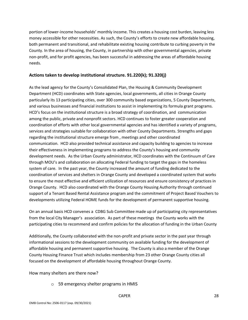portion of lower-income households' monthly income. This creates a housing cost burden, leaving less money accessible for other necessities. As such, the County's efforts to create new affordable housing, both permanent and transitional, and rehabilitate existing housing contribute to curbing poverty in the County. In the area of housing, the County, in partnership with other governmental agencies, private non-profit, and for profit agencies, has been successful in addressing the areas of affordable housing needs.

## **Actions taken to develop institutional structure. 91.220(k); 91.320(j)**

As the lead agency for the County's Consolidated Plan, the Housing & Community Development Department (HCD) coordinates with State agencies, local governments, all cities in Orange County particularly its 13 participating cities, over 300 community based organizations, 5 County Departments, and various businesses and financial institutions to assist in implementing its formula grant programs. HCD's focus on the institutional structure is a broad strategy of coordination, and communication among the public, private and nonprofit sectors. HCD continues to foster greater cooperation and coordination of efforts with other local governmental agencies and has identified a variety of programs, services and strategies suitable for collaboration with other County Departments. Strengths and gaps regarding the institutional structure emerge from , meetings and other coordinated communication. HCD also provided technical assistance and capacity building to agencies to increase their effectiveness in implementing programs to address the County's housing and community development needs. As the Urban County administrator, HCD coordinates with the Continuum of Care through MOU's and collaboration on allocating Federal funding to target the gaps in the homeless system of care. In the past year, the County increased the amount of funding dedicated to the coordination of services and shelters in Orange County and developed a coordinated system that works to ensure the most effective and efficient utilization of resources and ensure consistency of practices in Orange County. HCD also coordinated with the Orange County Housing Authority through continued support of a Tenant Based Rental Assistance program and the commitment of Project Based Vouchers to developments utilizing Federal HOME funds for the development of permanent supportive housing.

On an annual basis HCD convenes a CDBG Sub Committee made up of participating city representatives from the local City Manager's association. As part of these meetings the County works with the participating cities to recommend and confirm policies for the allocation of funding in the Urban County

Additionally, the County collaborated with the non-profit and private sector in the past year through informational sessions to the development community on available funding for the development of affordable housing and permanent supportive housing. The County is also a member of the Orange County Housing Finance Trust which includes membership from 23 other Orange County cities all focused on the development of affordable housing throughout Orange County.

How many shelters are there now?

o 59 emergency shelter programs in HMIS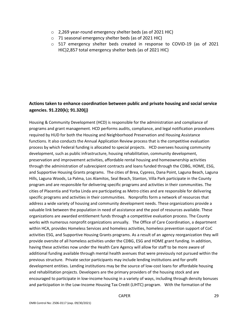- o 2,269 year-round emergency shelter beds (as of 2021 HIC)
- o 71 seasonal emergency shelter beds (as of 2021 HIC)
- o 517 emergency shelter beds created in response to COVID-19 (as of 2021 HIC)2,857 total emergency shelter beds (as of 2021 HIC)

## **Actions taken to enhance coordination between public and private housing and social service agencies. 91.220(k); 91.320(j)**

Housing & Community Development (HCD) is responsible for the administration and compliance of programs and grant management. HCD performs audits, compliance, and legal notification procedures required by HUD for both the Housing and Neighborhood Preservation and Housing Assistance functions. It also conducts the Annual Application Review process that is the competitive evaluation process by which Federal funding is allocated to special projects. HCD oversees housing community development, such as public infrastructure, housing rehabilitation, community development, preservation and improvement activities, affordable rental housing and homeownership activities through the administration of subrecipient contracts and loans funded through the CDBG, HOME, ESG, and Supportive Housing Grants programs. The cities of Brea, Cypress, Dana Point, Laguna Beach, Laguna Hills, Laguna Woods, La Palma, Los Alamitos, Seal Beach, Stanton, Villa Park participate in the County program and are responsible for delivering specific programs and activities in their communities. The cities of Placentia and Yorba Linda are participating as Metro cities and are responsible for delivering specific programs and activities in their communities. Nonprofits form a network of resources that address a wide variety of housing and community development needs. These organizations provide a valuable link between the population in need of assistance and the pool of resources available. These organizations are awarded entitlement funds through a competitive evaluation process. The County works with numerous nonprofit organizations annually. The Office of Care Coordination, a department within HCA, provides Homeless Services and homeless activities, homeless prevention support of CoC activities ESG, and Supportive Housing Grants programs. As a result of an agency reorganization they will provide oversite of all homeless activities under the CDBG, ESG and HOME grant funding. In addition, having these activities now under the Health Care Agency will allow for staff to be more aware of additional funding available through mental health avenues that were previously not pursued within the previous structure. Private sector participants may include lending institutions and for-profit development entities. Lending institutions may be the source of low-cost loans for affordable housing and rehabilitation projects. Developers are the primary providers of the housing stock and are encouraged to participate in low-income housing in a variety of ways, including through density bonuses and participation in the Low-Income Housing Tax Credit (LIHTC) program. With the formation of the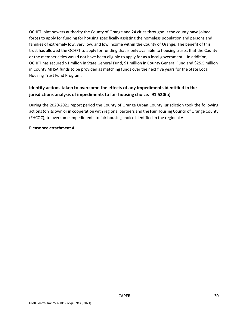OCHFT joint powers authority the County of Orange and 24 cities throughout the county have joined forces to apply for funding for housing specifically assisting the homeless population and persons and families of extremely low, very low, and low income within the County of Orange. The benefit of this trust has allowed the OCHFT to apply for funding that is only available to housing trusts, that the County or the member cities would not have been eligible to apply for as a local government. In addition, OCHFT has secured \$1 milion in State General Fund, \$1 million in County General Fund and \$25.5 million in County MHSA funds to be provided as matching funds over the next five years for the State Local Housing Trust Fund Program.

## **Identify actions taken to overcome the effects of any impediments identified in the jurisdictions analysis of impediments to fair housing choice. 91.520(a)**

During the 2020-2021 report period the County of Orange Urban County jurisdiction took the following actions (on its own or in cooperation with regional partners and the Fair Housing Council of Orange County (FHCOC)) to overcome impediments to fair housing choice identified in the regional AI:

#### **Please see attachment A**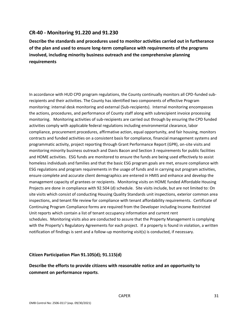## **CR-40 - Monitoring 91.220 and 91.230**

**Describe the standards and procedures used to monitor activities carried out in furtherance of the plan and used to ensure long-term compliance with requirements of the programs involved, including minority business outreach and the comprehensive planning requirements**

In accordance with HUD CPD program regulations, the County continually monitors all CPD-funded subrecipients and their activities. The County has identified two components of effective Program monitoring: internal desk monitoring and external (Sub-recipients). Internal monitoring encompasses the actions, procedures, and performance of County staff along with subrecipient invoice processing monitoring. Monitoring activities of sub-recipients are carried out through by ensuring the CPD funded activities comply with applicable federal regulations including environmental clearance, labor compliance, procurement procedures, affirmative action, equal opportunity, and fair housing, monitors contracts and funded activities on a consistent basis for compliance, financial management systems and programmatic activity, project reporting through Grant Performance Report (GPR), on-site visits and monitoring minority business outreach and Davis Bacon and Section 3 requirements for public facilities and HOME activities. ESG funds are monitored to ensure the funds are being used effectively to assist homeless individuals and families and that the basic ESG program goals are met, ensure compliance with ESG regulations and program requirements in the usage of funds and in carrying out program activities, ensure complete and accurate client demographics are entered in HMIS and enhance and develop the management capacity of grantees or recipients. Monitoring visits on HOME funded Affordable Housing Projects are done in compliance with 92.504 (d) schedule. Site visits include, but are not limited to: On site visits which consist of conducting Housing Quality Standards unit inspections, exterior common area inspections, and tenant file review for compliance with tenant affordability requirements. Certificate of Continuing Program Compliance forms are required from the Developer including Income Restricted Unit reports which contain a list of tenant occupancy information and current rent schedules. Monitoring visits also are conducted to assure that the Property Management is complying with the Property's Regulatory Agreements for each project. If a property is found in violation, a written notification of findings is sent and a follow-up monitoring visit(s) is conducted, if necessary.

## **Citizen Participation Plan 91.105(d); 91.115(d)**

**Describe the efforts to provide citizens with reasonable notice and an opportunity to comment on performance reports**.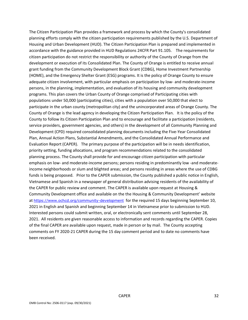The Citizen Participation Plan provides a framework and process by which the County's consolidated planning efforts comply with the citizen participation requirements published by the U.S. Department of Housing and Urban Development (HUD). The Citizen Participation Plan is prepared and implemented in accordance with the guidance provided in HUD Regulations 24CFR Part 91.105. The requirements for citizen participation do not restrict the responsibility or authority of the County of Orange from the development or execution of its Consolidated Plan. The County of Orange is entitled to receive annual grant funding from the Community Development Block Grant (CDBG), Home Investment Partnership (HOME), and the Emergency Shelter Grant (ESG) programs. It is the policy of Orange County to ensure adequate citizen involvement, with particular emphasis on participation by low- and moderate-income persons, in the planning, implementation, and evaluation of its housing and community development programs. This plan covers the Urban County of Orange comprised of Participating cities with populations under 50,000 (participating cities), cities with a population over 50,000 that elect to participate in the urban county (metropolitan city) and the unincorporated areas of Orange County. The County of Orange is the lead agency in developing the Citizen Participation Plan. It is the policy of the County to follow its Citizen Participation Plan and to encourage and facilitate a participation (residents, service providers, government agencies, and others) in the development of all Community Planning and Development (CPD) required consolidated planning documents including the Five-Year Consolidated Plan, Annual Action Plans, Substantial Amendments, and the Consolidated Annual Performance and Evaluation Report (CAPER). The primary purpose of the participation will be in needs identification, priority setting, funding allocations, and program recommendations related to the consolidated planning process. The County shall provide for and encourage citizen participation with particular emphasis on low- and moderate-income persons; persons residing in predominantly low -and moderateincome neighborhoods or slum and blighted areas; and persons residing in areas where the use of CDBG funds is being proposed. Prior to the CAPER submission, the County published a public notice in English, Vietnamese and Spanish in a newspaper of general distribution advising residents of the availability of the CAPER for public review and comment. The CAPER is available upon request at Housing & Community Development office and available on the the Housing & Community Development' website at <https://www.ochcd.org/community-development> for the required 15 days beginning September 10, 2021 in English and Spanish and beginning September 14 in Vietnamese prior to submission to HUD. Interested persons could submit written, oral, or electronically sent comments until September 28, 2021. All residents are given reasonable access to information and records regarding the CAPER. Copies of the final CAPER are available upon request, made in person or by mail. The County accepting comments on FY 2020-21 CAPER during the 15 day comment period and to date no comments have been received.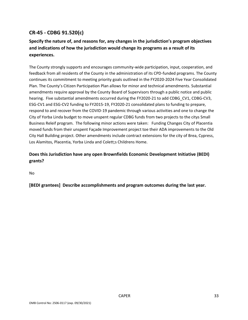# **CR-45 - CDBG 91.520(c)**

# **Specify the nature of, and reasons for, any changes in the jurisdiction's program objectives and indications of how the jurisdiction would change its programs as a result of its experiences.**

The County strongly supports and encourages community-wide participation, input, cooperation, and feedback from all residents of the County in the administration of its CPD-funded programs. The County continues its commitment to meeting priority goals outlined in the FY2020-2024 Five Year Consolidated Plan. The County's Citizen Participation Plan allows for minor and technical amendments. Substantial amendments require approval by the County Board of Supervisors through a public notice and public hearing. Five substantial amendments occurred during the FY2020-21 to add CDBG\_CV1, CDBG-CV3, ESG-CV1 and ESG-CV2 funding to FY2015-19, FY2020-21 consolidated plans to funding to prepare, respond to and recover from the COVID-19 pandemic through various activities and one to change the City of Yorba Linda budget to move unspent regular CDBG funds from two projects to the citys Small Business Releif program. The following minor actions were taken: Funding Changes City of Placentia moved funds from their unspent Façade Improvement project toe their ADA improvements to the Old City Hall Building project. Other amendments include contract extensions for the city of Brea, Cypress, Los Alamitos, Placentia, Yorba Linda and Colett;s Childrens Home.

# **Does this Jurisdiction have any open Brownfields Economic Development Initiative (BEDI) grants?**

No

**[BEDI grantees] Describe accomplishments and program outcomes during the last year.**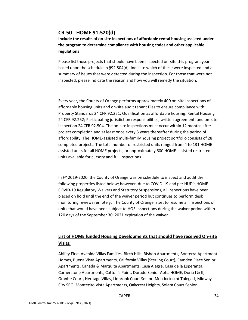## **CR-50 - HOME 91.520(d)**

**Include the results of on-site inspections of affordable rental housing assisted under the program to determine compliance with housing codes and other applicable regulations** 

Please list those projects that should have been inspected on-site this program year based upon the schedule in §92.504(d). Indicate which of these were inspected and a summary of issues that were detected during the inspection. For those that were not inspected, please indicate the reason and how you will remedy the situation.

Every year, the County of Orange performs approximately 400 on-site inspections of affordable housing units and on-site audit tenant files to ensure compliance with Property Standards 24 CFR 92.251; Qualification as affordable housing: Rental Housing 24 CFR 92.252; Participating jurisdiction responsibilities; written agreement; and on-site inspection 24 CFR 92.504. The on-site inspections must occur within 12 months after project completion and at least once every 3 years thereafter during the period of affordability. The HOME-assisted multi-family housing project portfolio consists of 28 completed projects. The total number of restricted units ranged from 4 to 131 HOMEassisted units for all HOME projects; or approximately 600 HOME-assisted restricted units available for cursory and full inspections.

In FY 2019-2020, the County of Orange was on schedule to inspect and audit the following properties listed below; however, due to COVID-19 and per HUD's HOME COVID-19 Regulatory Waivers and Statutory Suspensions, all inspections have been placed on hold until the end of the waiver period but continues to perform desk monitoring reviews remotely. The County of Orange is set to resume all inspections of units that would have been subject to HQS inspections during the waiver period within 120 days of the September 30, 2021 expiration of the waiver.

# **List of HOME funded Housing Developments that should have received On-site Visits:**

Ability First, Avenida Villas Families, Birch Hills, Bishop Apartments, Bonterra Apartment Homes, Buena Vista Apartments, California Villas (Sterling Court), Camden Place Senior Apartments, Canada & Marquita Apartments, Casa Alegre, Casa de la Esperanza, Cornerstone Apartments, Cotton's Point, Dorado Senior Apts. HOME, Doria I & II, Granite Court, Heritage Villas, Linbrook Court Senior, Mendocino at Talega I, Midway City SRO, Montecito Vista Apartments, Oakcrest Heights, Solara Court Senior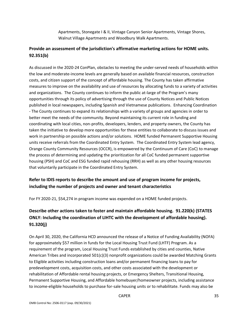Apartments, Stonegate I & II, Vintage Canyon Senior Apartments, Vintage Shores, Walnut Village Apartments and Woodbury Walk Apartments.

# **Provide an assessment of the jurisdiction's affirmative marketing actions for HOME units. 92.351(b)**

As discussed in the 2020-24 ConPlan, obstacles to meeting the under-served needs of households within the low and moderate-income levels are generally based on available financial resources, construction costs, and citizen support of the concept of affordable housing. The County has taken affirmative measures to improve on the availability and use of resources by allocating funds to a variety of activities and organizations. The County continues to inform the public at-large of the Program's many opportunities through its policy of advertising through the use of County Notices and Public Notices published in local newspapers, including Spanish and Vietnamese publications. Enhancing Coordination - The County continues to expand its relationships with a variety of groups and agencies in order to better meet the needs of the community. Beyond maintaining its current role in funding and coordinating with local cities, non-profits, developers, lenders, and property owners, the County has taken the initiative to develop more opportunities for these entities to collaborate to discuss issues and work in partnership on possible actions and/or solutions. HOME funded Permanent Supportive Housing units receive referrals from the Coordinated Entry System. The Coordinated Entry System lead agency, Orange County Community Resources (OCCR), is empowered by the Continuum of Care (CoC) to manage the process of determining and updating the prioritization for all CoC funded permanent supportive housing (PSH) and CoC and ESG funded rapid rehousing (RRH) as well as any other housing resources that voluntarily participate in the Coordinated Entry System.

# **Refer to IDIS reports to describe the amount and use of program income for projects, including the number of projects and owner and tenant characteristics**

For FY 2020-21, \$54,274 in program income was expended on a HOME funded projects.

# **Describe other actions taken to foster and maintain affordable housing. 91.220(k) (STATES ONLY: Including the coordination of LIHTC with the development of affordable housing). 91.320(j)**

On April 30, 2020, the California HCD announced the release of a Notice of Funding Availability (NOFA) for approximately \$57 million in funds for the Local Housing Trust Fund (LHTF) Program. As a requirement of the program, Local Housing Trust Funds established by cities and counties, Native American Tribes and incorporated 501(c)(3) nonprofit organizations could be awarded Matching Grants to Eligible activities including construction loans and/or permanent financing loans to pay for predevelopment costs, acquisition costs, and other costs associated with the development or rehabilitation of Affordable rental housing projects, or Emergency Shelters, Transitional Housing, Permanent Supportive Housing, and Affordable homebuyer/homeowner projects, including assistance to income-eligible households to purchase for-sale housing units or to rehabilitate. Funds may also be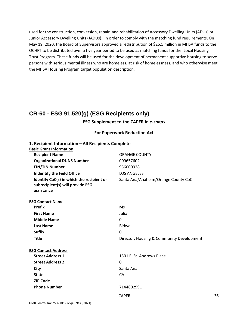used for the construction, conversion, repair, and rehabilitation of Accessory Dwelling Units (ADUs) or Junior Accessory Dwelling Units (JADUs). In order to comply with the matching fund requirements, On May 19, 2020, the Board of Supervisors approved a redistribution of \$25.5 million in MHSA funds to the OCHFT to be distributed over a five year period to be used as matching funds for the Local Housing Trust Program. These funds will be used for the development of permanent supportive housing to serve persons with serious mental illness who are homeless, at risk of homelessness, and who otherwise meet the MHSA Housing Program target population description.

# **CR-60 - ESG 91.520(g) (ESG Recipients only)**

#### **ESG Supplement to the CAPER in** *e-snaps*

#### **For Paperwork Reduction Act**

| 1. Recipient Information-All Recipients Complete |                                           |    |
|--------------------------------------------------|-------------------------------------------|----|
| <b>Basic Grant Information</b>                   |                                           |    |
| <b>Recipient Name</b>                            | <b>ORANGE COUNTY</b>                      |    |
| <b>Organizational DUNS Number</b>                | 009657602                                 |    |
| <b>EIN/TIN Number</b>                            | 956000928                                 |    |
| <b>Indentify the Field Office</b>                | <b>LOS ANGELES</b>                        |    |
| Identify CoC(s) in which the recipient or        | Santa Ana/Anaheim/Orange County CoC       |    |
| subrecipient(s) will provide ESG                 |                                           |    |
| assistance                                       |                                           |    |
|                                                  |                                           |    |
| <b>ESG Contact Name</b><br><b>Prefix</b>         | Ms                                        |    |
| <b>First Name</b>                                | Julia                                     |    |
|                                                  |                                           |    |
| <b>Middle Name</b>                               | 0                                         |    |
| <b>Last Name</b>                                 | <b>Bidwell</b>                            |    |
| <b>Suffix</b>                                    | 0                                         |    |
| <b>Title</b>                                     | Director, Housing & Community Development |    |
| <b>ESG Contact Address</b>                       |                                           |    |
| <b>Street Address 1</b>                          | 1501 E. St. Andrews Place                 |    |
| <b>Street Address 2</b>                          | 0                                         |    |
| City                                             | Santa Ana                                 |    |
| <b>State</b>                                     | CA                                        |    |
| <b>ZIP Code</b>                                  |                                           |    |
| <b>Phone Number</b>                              | 7144802991                                |    |
|                                                  | <b>CAPER</b>                              | 36 |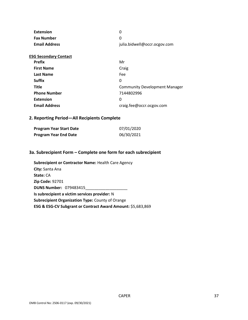| Extension            |                              |
|----------------------|------------------------------|
| <b>Fax Number</b>    |                              |
| <b>Email Address</b> | julia.bidwell@occr.ocgov.com |

#### **ESG Secondary Contact**

| <b>Prefix</b>        | Mr                                   |
|----------------------|--------------------------------------|
| <b>First Name</b>    | Craig                                |
| <b>Last Name</b>     | <b>Fee</b>                           |
| <b>Suffix</b>        | 0                                    |
| <b>Title</b>         | <b>Community Development Manager</b> |
| <b>Phone Number</b>  | 7144802996                           |
| <b>Extension</b>     | 0                                    |
| <b>Email Address</b> | craig.fee@occr.ocgov.com             |

## **2. Reporting Period—All Recipients Complete**

| Program Year Start Date | 07/01/2020 |
|-------------------------|------------|
| Program Year End Date   | 06/30/2021 |

#### **3a. Subrecipient Form – Complete one form for each subrecipient**

**Subrecipient or Contractor Name:** Health Care Agency **City:** Santa Ana **State:** CA **Zip Code:** 92701 **DUNS Number:** 079483415\_\_\_\_\_\_\_\_\_\_\_\_\_\_\_\_\_\_\_ **Is subrecipient a victim services provider:** N **Subrecipient Organization Type:** County of Orange **ESG & ESG-CV Subgrant or Contract Award Amount:** \$5,683,869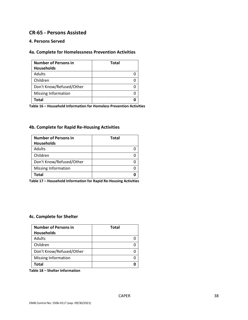# **CR-65 - Persons Assisted**

## **4. Persons Served**

## **4a. Complete for Homelessness Prevention Activities**

| <b>Number of Persons in</b><br><b>Households</b> | <b>Total</b> |
|--------------------------------------------------|--------------|
| Adults                                           |              |
| Children                                         |              |
| Don't Know/Refused/Other                         |              |
| <b>Missing Information</b>                       |              |
| Total                                            |              |

**Table 16 – Household Information for Homeless Prevention Activities**

#### **4b. Complete for Rapid Re-Housing Activities**

| <b>Number of Persons in</b> | <b>Total</b> |
|-----------------------------|--------------|
| <b>Households</b>           |              |
| <b>Adults</b>               |              |
| Children                    |              |
| Don't Know/Refused/Other    |              |
| Missing Information         |              |
| Total                       |              |

**Table 17 – Household Information for Rapid Re-Housing Activities**

#### **4c. Complete for Shelter**

| <b>Number of Persons in</b><br><b>Households</b> | <b>Total</b> |
|--------------------------------------------------|--------------|
| Adults                                           |              |
| Children                                         |              |
| Don't Know/Refused/Other                         |              |
| Missing Information                              |              |
| Total                                            |              |

**Table 18 – Shelter Information**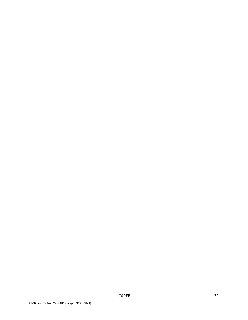CAPER 39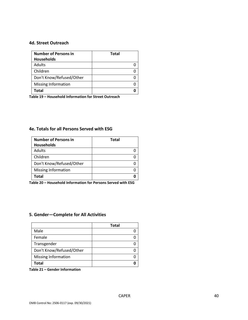#### **4d. Street Outreach**

| <b>Number of Persons in</b> | <b>Total</b> |
|-----------------------------|--------------|
| <b>Households</b>           |              |
| Adults                      |              |
| Children                    |              |
| Don't Know/Refused/Other    |              |
| <b>Missing Information</b>  |              |
| Total                       |              |

**Table 19 – Household Information for Street Outreach** 

#### **4e. Totals for all Persons Served with ESG**

| <b>Number of Persons in</b> | <b>Total</b> |
|-----------------------------|--------------|
| <b>Households</b>           |              |
| Adults                      |              |
| Children                    |              |
| Don't Know/Refused/Other    |              |
| Missing Information         |              |
| Total                       |              |

**Table 20 – Household Information for Persons Served with ESG**

## **5. Gender—Complete for All Activities**

|                          | <b>Total</b> |
|--------------------------|--------------|
| Male                     |              |
| Female                   |              |
| Transgender              |              |
| Don't Know/Refused/Other |              |
| Missing Information      |              |
| Total                    |              |

**Table 21 – Gender Information**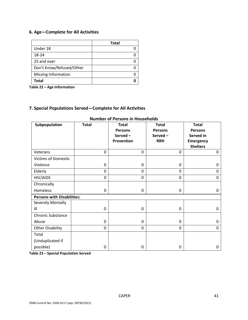# **6. Age—Complete for All Activities**

|                            | <b>Total</b> |
|----------------------------|--------------|
| Under 18                   |              |
| 18-24                      |              |
| 25 and over                |              |
| Don't Know/Refused/Other   |              |
| <b>Missing Information</b> |              |
| Total                      |              |

**Table 22 – Age Information**

## **7. Special Populations Served—Complete for All Activities**

| Subpopulation                     | <b>Total</b> | <b>Total</b><br><b>Persons</b><br>Served-<br><b>Prevention</b> | <b>Total</b><br><b>Persons</b><br>Served-<br><b>RRH</b> | <b>Total</b><br><b>Persons</b><br>Served in<br><b>Emergency</b><br><b>Shelters</b> |
|-----------------------------------|--------------|----------------------------------------------------------------|---------------------------------------------------------|------------------------------------------------------------------------------------|
| Veterans                          | 0            | $\mathbf 0$                                                    | 0                                                       | 0                                                                                  |
| <b>Victims of Domestic</b>        |              |                                                                |                                                         |                                                                                    |
| Violence                          | 0            | 0                                                              | 0                                                       | 0                                                                                  |
| Elderly                           | 0            | 0                                                              | 0                                                       | 0                                                                                  |
| HIV/AIDS                          | 0            | $\mathbf 0$                                                    | 0                                                       | 0                                                                                  |
| Chronically                       |              |                                                                |                                                         |                                                                                    |
| Homeless                          | 0            | 0                                                              | 0                                                       | $\Omega$                                                                           |
| <b>Persons with Disabilities:</b> |              |                                                                |                                                         |                                                                                    |
| Severely Mentally                 |              |                                                                |                                                         |                                                                                    |
| III                               | 0            | 0                                                              | 0                                                       | $\Omega$                                                                           |
| <b>Chronic Substance</b>          |              |                                                                |                                                         |                                                                                    |
| Abuse                             | 0            | 0                                                              | $\mathbf 0$                                             | $\Omega$                                                                           |
| <b>Other Disability</b>           | 0            | 0                                                              | 0                                                       | $\Omega$                                                                           |
| Total                             |              |                                                                |                                                         |                                                                                    |
| (Unduplicated if                  |              |                                                                |                                                         |                                                                                    |
| possible)                         | 0            | 0                                                              | 0                                                       | 0                                                                                  |

#### **Number of Persons in Households**

**Table 23 – Special Population Served**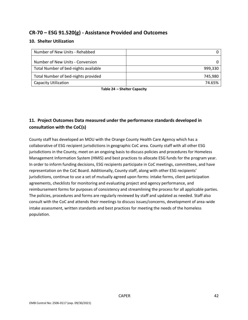# **CR-70 – ESG 91.520(g) - Assistance Provided and Outcomes**

## **10. Shelter Utilization**

| Number of New Units - Rehabbed       |         |
|--------------------------------------|---------|
| Number of New Units - Conversion     |         |
| Total Number of bed-nights available | 999,330 |
| Total Number of bed-nights provided  | 745,980 |
| Capacity Utilization                 | 74.65%  |

**Table 24 – Shelter Capacity**

# **11. Project Outcomes Data measured under the performance standards developed in consultation with the CoC(s)**

County staff has developed an MOU with the Orange County Health Care Agency which has a collaborative of ESG recipient jurisdictions in geographic CoC area. County staff with all other ESG jurisdictions in the County, meet on an ongoing basis to discuss policies and procedures for Homeless Management Information System (HMIS) and best practices to allocate ESG funds for the program year. In order to inform funding decisions, ESG recipients participate in CoC meetings, committees, and have representation on the CoC Board. Additionally, County staff, along with other ESG recipients' jurisdictions, continue to use a set of mutually agreed upon forms: intake forms, client participation agreements, checklists for monitoring and evaluating project and agency performance, and reimbursement forms for purposes of consistency and streamlining the process for all applicable parties. The policies, procedures and forms are regularly reviewed by staff and updated as needed. Staff also consult with the CoC and attends their meetings to discuss issues/concerns, development of area-wide intake assessment, written standards and best practices for meeting the needs of the homeless population.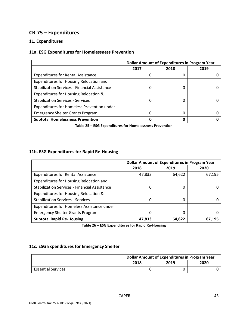# **CR-75 – Expenditures**

## **11. Expenditures**

## **11a. ESG Expenditures for Homelessness Prevention**

|                                                      | <b>Dollar Amount of Expenditures in Program Year</b> |      |      |
|------------------------------------------------------|------------------------------------------------------|------|------|
|                                                      | 2017                                                 | 2018 | 2019 |
| <b>Expenditures for Rental Assistance</b>            |                                                      | 0    |      |
| Expenditures for Housing Relocation and              |                                                      |      |      |
| <b>Stabilization Services - Financial Assistance</b> |                                                      | 0    |      |
| Expenditures for Housing Relocation &                |                                                      |      |      |
| <b>Stabilization Services - Services</b>             | <sup>0</sup>                                         | 0    |      |
| Expenditures for Homeless Prevention under           |                                                      |      |      |
| <b>Emergency Shelter Grants Program</b>              |                                                      | 0    |      |
| <b>Subtotal Homelessness Prevention</b>              |                                                      | 0    |      |

**Table 25 – ESG Expenditures for Homelessness Prevention**

## **11b. ESG Expenditures for Rapid Re-Housing**

|                                                      | <b>Dollar Amount of Expenditures in Program Year</b> |        |        |
|------------------------------------------------------|------------------------------------------------------|--------|--------|
|                                                      | 2018                                                 | 2019   | 2020   |
| <b>Expenditures for Rental Assistance</b>            | 47,833                                               | 64,622 | 67,195 |
| Expenditures for Housing Relocation and              |                                                      |        |        |
| <b>Stabilization Services - Financial Assistance</b> |                                                      | 0      |        |
| Expenditures for Housing Relocation &                |                                                      |        |        |
| <b>Stabilization Services - Services</b>             | <sup>0</sup>                                         | 0      |        |
| Expenditures for Homeless Assistance under           |                                                      |        |        |
| <b>Emergency Shelter Grants Program</b>              |                                                      | 0      |        |
| <b>Subtotal Rapid Re-Housing</b>                     | 47,833                                               | 64,622 | 67,195 |

**Table 26 – ESG Expenditures for Rapid Re-Housing**

## **11c. ESG Expenditures for Emergency Shelter**

|                           | Dollar Amount of Expenditures in Program Year |  |  |  |
|---------------------------|-----------------------------------------------|--|--|--|
|                           | 2020<br>2018<br>2019                          |  |  |  |
| <b>Essential Services</b> |                                               |  |  |  |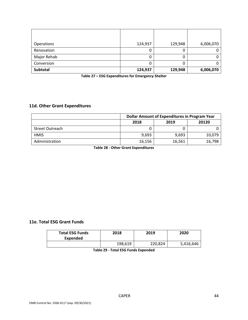| Operations      | 124,937 | 129,948 | 6,006,070 |
|-----------------|---------|---------|-----------|
| Renovation      |         | 0       |           |
| Major Rehab     |         | 0       |           |
| Conversion      |         | 0       |           |
| <b>Subtotal</b> | 124,937 | 129,948 | 6,006,070 |

**Table 27 – ESG Expenditures for Emergency Shelter**

## **11d. Other Grant Expenditures**

|                        | Dollar Amount of Expenditures in Program Year |        |        |  |
|------------------------|-----------------------------------------------|--------|--------|--|
|                        | 20120<br>2018<br>2019                         |        |        |  |
| <b>Street Outreach</b> |                                               |        |        |  |
| <b>HMIS</b>            | 9.693                                         | 9,693  | 10,079 |  |
| Administration         | 16,156                                        | 16,561 | 16,798 |  |

**Table 28 - Other Grant Expenditures**

## **11e. Total ESG Grant Funds**

| <b>Total ESG Funds</b><br><b>Expended</b> | 2018    | 2019    | 2020      |
|-------------------------------------------|---------|---------|-----------|
|                                           | 198,619 | 220,824 | 5,416,646 |

**Table 29 - Total ESG Funds Expended**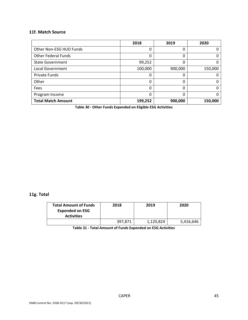## **11f. Match Source**

|                            | 2018    | 2019    | 2020    |
|----------------------------|---------|---------|---------|
| Other Non-ESG HUD Funds    | 0       | 0       |         |
| <b>Other Federal Funds</b> | 0       | 0       |         |
| <b>State Government</b>    | 99,252  | 0       |         |
| Local Government           | 100,000 | 900,000 | 150,000 |
| Private Funds              | 0       | 0       |         |
| Other                      | 0       | 0       |         |
| Fees                       | O       | 0       |         |
| Program Income             | 0       | 0       |         |
| <b>Total Match Amount</b>  | 199,252 | 900,000 | 150,000 |

**Table 30 - Other Funds Expended on Eligible ESG Activities**

## **11g. Total**

| <b>Total Amount of Funds</b><br><b>Expended on ESG</b><br><b>Activities</b> | 2018    | 2019      | 2020      |
|-----------------------------------------------------------------------------|---------|-----------|-----------|
|                                                                             |         |           |           |
|                                                                             | 397,871 | 1,120,824 | 5,416,646 |

**Table 31 - Total Amount of Funds Expended on ESG Activities**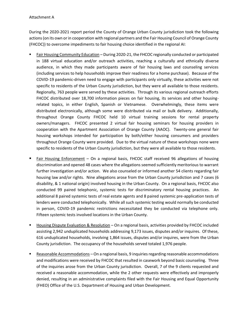#### Attachment A

During the 2020-2021 report period the County of Orange Urban County jurisdiction took the following actions (on its own or in cooperation with regional partners and the Fair Housing Council of Orange County (FHCOC)) to overcome impediments to fair housing choice identified in the regional AI:

- Fair Housing Community Education During 2020-21, the FHCOC regionally conducted or participated in 188 virtual education and/or outreach activities, reaching a culturally and ethnically diverse audience, in which they made participants aware of fair housing laws and counseling services (including services to help households improve their readiness for a home purchase). Because of the COVID-19 pandemic-driven need to engage with participants only virtually, these activities were not specific to residents of the Urban County jurisdiction, but they were all available to those residents. Regionally, 763 people were served by these activities. Through its various regional outreach efforts FHCOC distributed over 18,700 information pieces on fair housing, its services and other housingrelated topics, in either English, Spanish or Vietnamese. Overwhelmingly, these items were distributed electronically, although some were distributed via mail or bulk delivery. Additionally, throughout Orange County FHCOC held 10 virtual training sessions for rental property owners/managers. FHCOC presented 2 virtual fair housing seminars for housing providers in cooperation with the Apartment Association of Orange County (AAOC). Twenty-one general fair housing workshops intended for participation by both/either housing consumers and providers throughout Orange County were provided. Due to the virtual nature of these workshops none were specific to residents of the Urban County jurisdiction, but they were all available to those residents.
- Fair Housing Enforcement On a regional basis, FHCOC staff received 96 allegations of housing discrimination and opened 48 cases where the allegations seemed sufficiently meritorious to warrant further investigation and/or action. We also counseled or informed another 54 clients regarding fair housing law and/or rights. Nine allegations arose from the Urban County jurisdiction and 7 cases (6 disability, & 1 national origin) involved housing in the Urban County. On a regional basis, FHCOC also conducted 99 paired telephonic, systemic tests for discriminatory rental housing practices. An additional 8 paired systemic tests of real estate agents and 8 paired systemic pre-application tests of lenders were conducted telephonically. While all such systemic testing would normally be conducted in person, COVID-19 pandemic restrictions necessitated they be conducted via telephone only. Fifteen systemic tests involved locations in the Urban County.
- Housing Dispute Evaluation & Resolution On a regional basis, activities provided by FHCOC included assisting 2,942 unduplicated households addressing 9,173 issues, disputes and/or inquires. Of these, 616 unduplicated households, involving 1,864 issues, disputes and/or inquires, were from the Urban County jurisdiction. The occupancy of the households served totaled 1,976 people.
- Reasonable Accommodations On a regional basis, 9 inquiries regarding reasonable accommodations and modifications were received by FHCOC that resulted in casework beyond basic counseling. Three of the inquiries arose from the Urban County jurisdiction. Overall, 7 of the 9 clients requested and received a reasonable accommodation, while the 2 other requests were effectively and improperly denied, resulting in an administrative complaints filed with the Fair Housing and Equal Opportunity (FHEO) Office of the U.S. Department of Housing and Urban Development.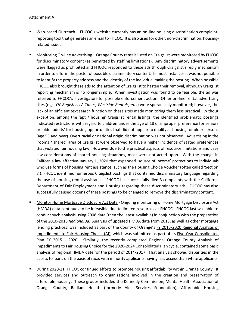- Web-based Outreach FHCOC's website currently has an on-line housing discrimination complaintreporting tool that generates an email to FHCOC. It is also used for other, non-discrimination, housingrelated issues.
- Monitoring On-line Advertising Orange County rentals listed on Craigslist were monitored by FHCOC for discriminatory content (as permitted by staffing limitations). Any discriminatory advertisements were flagged as prohibited and FHCOC responded to these ads through Craigslist's reply mechanism in order to inform the poster of possible discriminatory content. In most instances it was not possible to identify the property address and the identity of the individual making the posting. When possible FHCOC also brought these ads to the attention of Craigslist to hasten their removal, although Craigslist reporting mechanism is no longer simple. When investigation was found to be feasible, the ad was referred to FHCOC's investigators for possible enforcement action. Other on-line rental advertising sites (e.g., *OC Register*, *LA Times, Westside Rentals, etc.*) were sporadically monitored; however, the lack of an efficient text search function on these sites made monitoring them less practical. Without exception, among the 'apt / housing' Craigslist rental listings, the identified problematic postings indicated restrictions with regard to children under the age of 18 or improper preference for seniors or 'older adults' for housing opportunities that did not appear to qualify as housing for older persons (age 55 and over) Overt racial or national origin discrimination was not observed. Advertising in the 'rooms / shared' area of Craigslist were observed to have a higher incidence of stated preferences that violated fair housing law. However due to the practical aspects of resource limitations and case law considerations of shared housing situations, most were not acted upon. With the change in California law effective January 1, 2020 that expanded 'source of income' protections to individuals who use forms of housing rent assistance, such as the Housing Choice Voucher (often called 'Section 8'), FHCOC identified numerous Craigslist postings that contained discriminatory language regarding the use of housing rental assistance. FHCOC has successfully filed 3 complaints with the California Department of Fair Employment and Housing regarding these discriminatory ads. FHCOC has also successfully caused dozens of these postings to be changed to remove the discriminatory content.
- Monitor Home Mortgage Disclosure Act Data Ongoing monitoring of Home Mortgage Disclosure Act (HMDA) data continues to be infeasible due to limited resources at FHCOC. FHCOC last was able to conduct such analysis using 2008 data (then the latest available) in conjunction with the preparation of the 2010-2015 *Regional AI*. Analysis of updated HMDA data from 2013, as well as other mortgage lending practices, was included as part of the County of Orange's FY 2015-2020 Regional Analysis of Impediments to Fair Housing Choice (AI), which was submitted as part of its Five Year Consolidated Plan FY 2015 - 2020. Similarly, the recently completed Regional Orange County Analysis of Impediments to Fair Housing Choice for the 2020-2024 Consolidated Plan cycle, contained some basic analysis of regional HMDA date for the period of 2014-2017. That analysis showed disparities in the access to loans on the basis of race, with minority applicants having less access than white applicants.
- During 2020-21, FHCOC continued efforts to promote housing affordability within Orange County. It provided services and outreach to organizations involved in the creation and preservation of affordable housing. These groups included the Kennedy Commission, Mental Health Association of Orange County, Radiant Health (formerly Aids Services Foundation), Affordable Housing